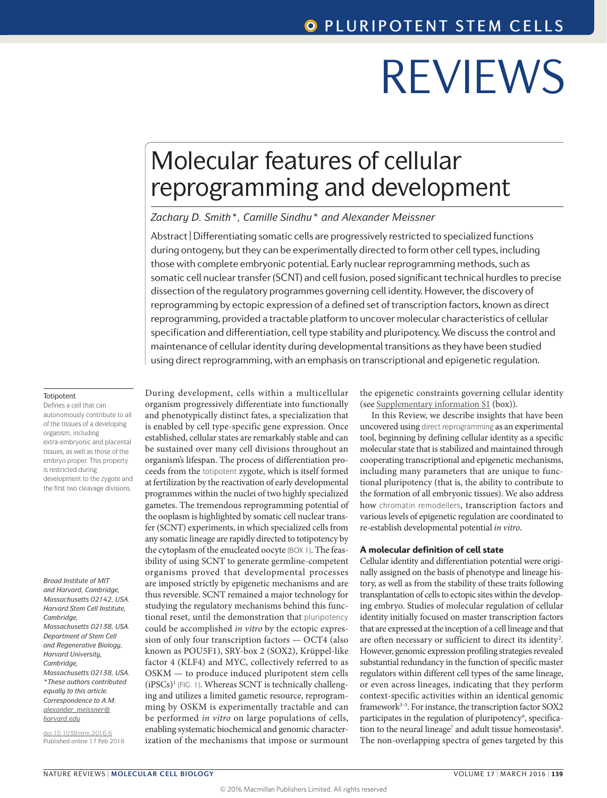# REVIEWS

## Molecular features of cellular reprogramming and development

### *Zachary D. Smith\*, Camille Sindhu\* and Alexander Meissner*

Abstract | Differentiating somatic cells are progressively restricted to specialized functions during ontogeny, but they can be experimentally directed to form other cell types, including those with complete embryonic potential. Early nuclear reprogramming methods, such as somatic cell nuclear transfer (SCNT) and cell fusion, posed significant technical hurdles to precise dissection of the regulatory programmes governing cell identity. However, the discovery of reprogramming by ectopic expression of a defined set of transcription factors, known as direct reprogramming, provided a tractable platform to uncover molecular characteristics of cellular specification and differentiation, cell type stability and pluripotency. We discuss the control and maintenance of cellular identity during developmental transitions as they have been studied using direct reprogramming, with an emphasis on transcriptional and epigenetic regulation.

### Totipotent

Defines a cell that can autonomously contribute to all of the tissues of a developing organism, including extra-embryonic and placental tissues, as well as those of the embryo proper. This property is restricted during development to the zygote and the first two cleavage divisions.

*Broad Institute of MIT and Harvard, Cambridge, Massachusetts 02142, USA. Harvard Stem Cell Institute, Cambridge, Massachusetts 02138, USA. Department of Stem Cell and Regenerative Biology, Harvard University, Cambridge, Massachusetts 02138, USA. \*These authors contributed equally to this article. Correspondence to A.M. [alexander\\_meissner@](mailto:alexander_meissner@harvard.edu) [harvard.edu](mailto:alexander_meissner@harvard.edu)*

[doi:10.1038/nrm.2016.6](http://dx.doi.org/10.1038/nrm.2016.6) Published online 17 Feb 2016 During development, cells within a multicellular organism progressively differentiate into functionally and phenotypically distinct fates, a specialization that is enabled by cell type-specific gene expression. Once established, cellular states are remarkably stable and can be sustained over many cell divisions throughout an organism's lifespan. The process of differentiation proceeds from the totipotent zygote, which is itself formed at fertilization by the reactivation of early developmental programmes within the nuclei of two highly specialized gametes. The tremendous reprogramming potential of the ooplasm is highlighted by somatic cell nuclear transfer (SCNT) experiments, in which specialized cells from any somatic lineage are rapidly directed to totipotency by the cytoplasm of the enucleated oocyte (BOX 1). The feasibility of using SCNT to generate germline-competent organisms proved that developmental processes are imposed strictly by epigenetic mechanisms and are thus reversible. SCNT remained a major technology for studying the regulatory mechanisms behind this functional reset, until the demonstration that pluripotency could be accomplished *in vitro* by the ectopic expression of only four transcription factors — OCT4 (also known as POU5F1), SRY-box 2 (SOX2), Krüppel-like factor 4 (KLF4) and MYC, collectively referred to as OSKM — to produce induced pluripotent stem cells (iPSCs)1 (FIG. 1). Whereas SCNT is technically challenging and utilizes a limited gametic resource, reprogramming by OSKM is experimentally tractable and can be performed *in vitro* on large populations of cells, enabling systematic biochemical and genomic characterization of the mechanisms that impose or surmount the epigenetic constraints governing cellular identity (see [Supplementary information S1](http://www.nature.com/nrm/journal/vaop/ncurrent/full/nrm.2016.6.html#supplementary-information) (box)).

In this Review, we describe insights that have been uncovered using direct reprogramming as an experimental tool, beginning by defining cellular identity as a specific molecular state that is stabilized and maintained through cooperating transcriptional and epigenetic mechanisms, including many parameters that are unique to functional pluripotency (that is, the ability to contribute to the formation of all embryonic tissues). We also address how chromatin remodellers, transcription factors and various levels of epigenetic regulation are coordinated to re-establish developmental potential *in vitro*.

### A molecular definition of cell state

Cellular identity and differentiation potential were originally assigned on the basis of phenotype and lineage history, as well as from the stability of these traits following transplantation of cells to ectopic sites within the developing embryo. Studies of molecular regulation of cellular identity initially focused on master transcription factors that are expressed at the inception of a cell lineage and that are often necessary or sufficient to direct its identity<sup>2</sup>. However, genomic expression profiling strategies revealed substantial redundancy in the function of specific master regulators within different cell types of the same lineage, or even across lineages, indicating that they perform context-specific activities within an identical genomic framework<sup>3-5</sup>. For instance, the transcription factor SOX2 participates in the regulation of pluripotency<sup>6</sup>, specification to the neural lineage<sup>7</sup> and adult tissue homeostasis<sup>8</sup>. The non-overlapping spectra of genes targeted by this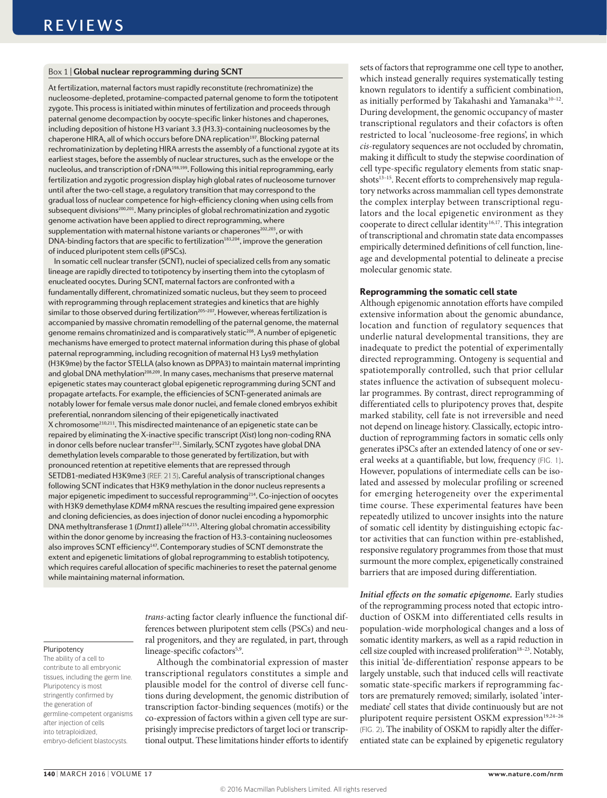### Box 1 | **Global nuclear reprogramming during SCNT**

At fertilization, maternal factors must rapidly reconstitute (rechromatinize) the nucleosome-depleted, protamine-compacted paternal genome to form the totipotent zygote. This process is initiated within minutes of fertilization and proceeds through paternal genome decompaction by oocyte-specific linker histones and chaperones, including deposition of histone H3 variant 3.3 (H3.3)-containing nucleosomes by the chaperone HIRA, all of which occurs before DNA replication<sup>197</sup>. Blocking paternal rechromatinization by depleting HIRA arrests the assembly of a functional zygote at its earliest stages, before the assembly of nuclear structures, such as the envelope or the nucleolus, and transcription of rDNA198,199. Following this initial reprogramming, early fertilization and zygotic progression display high global rates of nucleosome turnover until after the two-cell stage, a regulatory transition that may correspond to the gradual loss of nuclear competence for high-efficiency cloning when using cells from subsequent divisions<sup>200,201</sup>. Many principles of global rechromatinization and zygotic genome activation have been applied to direct reprogramming, where supplementation with maternal histone variants or chaperones<sup>202,203</sup>, or with  $DNA$ -binding factors that are specific to fertilization<sup>183,204</sup>, improve the generation of induced pluripotent stem cells (iPSCs).

In somatic cell nuclear transfer (SCNT), nuclei of specialized cells from any somatic lineage are rapidly directed to totipotency by inserting them into the cytoplasm of enucleated oocytes. During SCNT, maternal factors are confronted with a fundamentally different, chromatinized somatic nucleus, but they seem to proceed with reprogramming through replacement strategies and kinetics that are highly similar to those observed during fertilization<sup>205-207</sup>. However, whereas fertilization is accompanied by massive chromatin remodelling of the paternal genome, the maternal genome remains chromatinized and is comparatively static<sup>208</sup>. A number of epigenetic mechanisms have emerged to protect maternal information during this phase of global paternal reprogramming, including recognition of maternal H3 Lys9 methylation (H3K9me) by the factor STELLA (also known as DPPA3) to maintain maternal imprinting and global DNA methylation<sup>208,209</sup>. In many cases, mechanisms that preserve maternal epigenetic states may counteract global epigenetic reprogramming during SCNT and propagate artefacts. For example, the efficiencies of SCNT-generated animals are notably lower for female versus male donor nuclei, and female cloned embryos exhibit preferential, nonrandom silencing of their epigenetically inactivated X chromosome<sup>210,211</sup>. This misdirected maintenance of an epigenetic state can be repaired by eliminating the X-inactive specific transcript (*Xist*) long non-coding RNA in donor cells before nuclear transfer<sup>212</sup>. Similarly, SCNT zygotes have global DNA demethylation levels comparable to those generated by fertilization, but with pronounced retention at repetitive elements that are repressed through SETDB1-mediated H3K9me3 (REF. 213). Careful analysis of transcriptional changes following SCNT indicates that H3K9 methylation in the donor nucleus represents a major epigenetic impediment to successful reprogramming<sup>214</sup>. Co-injection of oocytes with H3K9 demethylase *KDM4* mRNA rescues the resulting impaired gene expression and cloning deficiencies, as does injection of donor nuclei encoding a hypomorphic DNA methyltransferase 1 (Dnmt1) allele<sup>214,215</sup>. Altering global chromatin accessibility within the donor genome by increasing the fraction of H3.3-containing nucleosomes also improves SCNT efficiency<sup>147</sup>. Contemporary studies of SCNT demonstrate the extent and epigenetic limitations of global reprogramming to establish totipotency, which requires careful allocation of specific machineries to reset the paternal genome while maintaining maternal information.

### Pluripotency

The ability of a cell to contribute to all embryonic tissues, including the germ line. Pluripotency is most stringently confirmed by the generation of germline-competent organisms after injection of cells into tetraploidized, embryo-deficient blastocysts.

*trans*-acting factor clearly influence the functional differences between pluripotent stem cells (PSCs) and neural progenitors, and they are regulated, in part, through lineage-specific cofactors<sup>5,9</sup>.

Although the combinatorial expression of master transcriptional regulators constitutes a simple and plausible model for the control of diverse cell functions during development, the genomic distribution of transcription factor-binding sequences (motifs) or the co-expression of factors within a given cell type are surprisingly imprecise predictors of target loci or transcriptional output. These limitations hinder efforts to identify sets of factors that reprogramme one cell type to another, which instead generally requires systematically testing known regulators to identify a sufficient combination, as initially performed by Takahashi and Yamanaka<sup>10-12</sup>. During development, the genomic occupancy of master transcriptional regulators and their cofactors is often restricted to local 'nucleosome-free regions', in which *cis-*regulatory sequences are not occluded by chromatin, making it difficult to study the stepwise coordination of cell type-specific regulatory elements from static snapshots<sup>13-15</sup>. Recent efforts to comprehensively map regulatory networks across mammalian cell types demonstrate the complex interplay between transcriptional regulators and the local epigenetic environment as they cooperate to direct cellular identity<sup>16,17</sup>. This integration of transcriptional and chromatin state data encompasses empirically determined definitions of cell function, lineage and developmental potential to delineate a precise molecular genomic state.

### Reprogramming the somatic cell state

Although epigenomic annotation efforts have compiled extensive information about the genomic abundance, location and function of regulatory sequences that underlie natural developmental transitions, they are inadequate to predict the potential of experimentally directed reprogramming. Ontogeny is sequential and spatiotemporally controlled, such that prior cellular states influence the activation of subsequent molecular programmes. By contrast, direct reprogramming of differentiated cells to pluripotency proves that, despite marked stability, cell fate is not irreversible and need not depend on lineage history. Classically, ectopic introduction of reprogramming factors in somatic cells only generates iPSCs after an extended latency of one or several weeks at a quantifiable, but low, frequency (FIG. 1). However, populations of intermediate cells can be isolated and assessed by molecular profiling or screened for emerging heterogeneity over the experimental time course. These experimental features have been repeatedly utilized to uncover insights into the nature of somatic cell identity by distinguishing ectopic factor activities that can function within pre-established, responsive regulatory programmes from those that must surmount the more complex, epigenetically constrained barriers that are imposed during differentiation.

*Initial effects on the somatic epigenome.* Early studies of the reprogramming process noted that ectopic introduction of OSKM into differentiated cells results in population-wide morphological changes and a loss of somatic identity markers, as well as a rapid reduction in cell size coupled with increased proliferation<sup>18-23</sup>. Notably, this initial 'de-differentiation' response appears to be largely unstable, such that induced cells will reactivate somatic state-specific markers if reprogramming factors are prematurely removed; similarly, isolated 'intermediate' cell states that divide continuously but are not pluripotent require persistent OSKM expression<sup>19,24-26</sup> (FIG. 2). The inability of OSKM to rapidly alter the differentiated state can be explained by epigenetic regulatory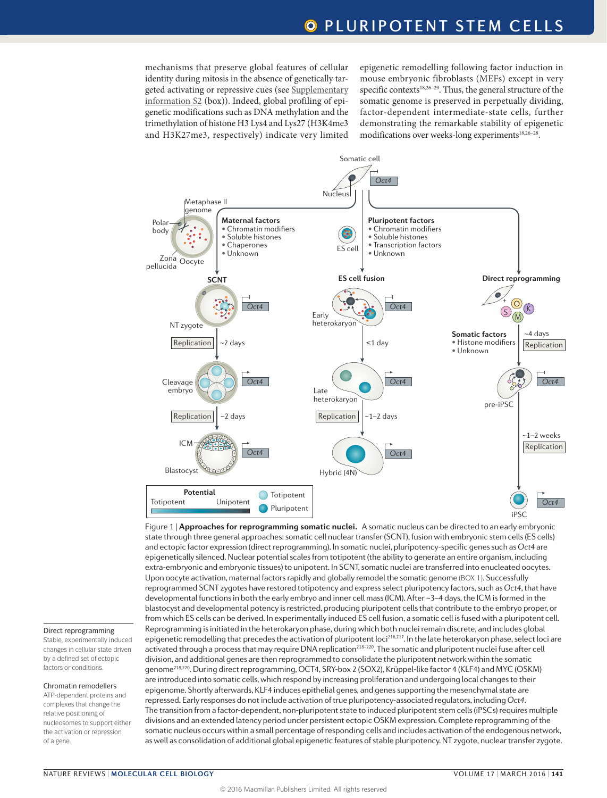mechanisms that preserve global features of cellular identity during mitosis in the absence of genetically targeted activating or repressive cues (see [Supplementary](http://www.nature.com/nrm/journal/vaop/ncurrent/full/nrm.2016..6.html#supplementary-information)  [information S2](http://www.nature.com/nrm/journal/vaop/ncurrent/full/nrm.2016..6.html#supplementary-information) (box)). Indeed, global profiling of epigenetic modifications such as DNA methylation and the trimethylation of histone H3 Lys4 and Lys27 (H3K4me3 and H3K27me3, respectively) indicate very limited epigenetic remodelling following factor induction in mouse embryonic fibroblasts (MEFs) except in very specific contexts<sup>18,26–29</sup>. Thus, the general structure of the somatic genome is preserved in perpetually dividing, factor-dependent intermediate-state cells, further demonstrating the remarkable stability of epigenetic modifications over weeks-long experiments<sup>18,26-28</sup>.



epigenetically silenced. Nuclear potential scales from totipotent (the ability to generate an entire organism, including Figure 1 | **Approaches for reprogramming somatic nuclei.** A somatic nucleus can be directed to an early embryonic state through three general approaches: somatic cell nuclear transfer (SCNT), fusion with embryonic stem cells (ES cells) and ectopic factor expression (direct reprogramming). In somatic nuclei, pluripotency-specific genes such as *Oct4* are extra-embryonic and embryonic tissues) to unipotent. In SCNT, somatic nuclei are transferred into enucleated oocytes. Upon oocyte activation, maternal factors rapidly and globally remodel the somatic genome (BOX 1). Successfully reprogrammed SCNT zygotes have restored totipotency and express select pluripotency factors, such as *Oct4*, that have developmental functions in both the early embryo and inner cell mass (ICM). After ~3–4 days, the ICM is formed in the blastocyst and developmental potency is restricted, producing pluripotent cells that contribute to the embryo proper, or from which ES cells can be derived. In experimentally induced ES cell fusion, a somatic cell is fused with a pluripotent cell. Reprogramming is initiated in the heterokaryon phase, during which both nuclei remain discrete, and includes global epigenetic remodelling that precedes the activation of pluripotent loci<sup>216,217</sup>. In the late heterokaryon phase, select loci are activated through a process that may require DNA replication<sup>218-220</sup>. The somatic and pluripotent nuclei fuse after cell division, and additional genes are then reprogrammed to consolidate the pluripotent network within the somatic genome218,220. During direct reprogramming, OCT4, SRY-box 2 (SOX2), Krüppel-like factor 4 (KLF4) and MYC (OSKM) are introduced into somatic cells, which respond by increasing proliferation and undergoing local changes to their epigenome. Shortly afterwards, KLF4 induces epithelial genes, and genes supporting the mesenchymal state are repressed. Early responses do not include activation of true pluripotency-associated regulators, including *Oct4*. The transition from a factor-dependent, non-pluripotent state to induced pluripotent stem cells (iPSCs) requires multiple divisions and an extended latency period under persistent ectopic OSKM expression. Complete reprogramming of the somatic nucleus occurs within a small percentage of responding cells and includes activation of the endogenous network, as well as consolidation of additional global epigenetic features of stable pluripotency. NT zygote, nuclear transfer zygote.

### Direct reprogramming

Stable, experimentally induced changes in cellular state driven by a defined set of ectopic factors or conditions.

### Chromatin remodellers

ATP-dependent proteins and complexes that change the relative positioning of nucleosomes to support either the activation or repression of a gene.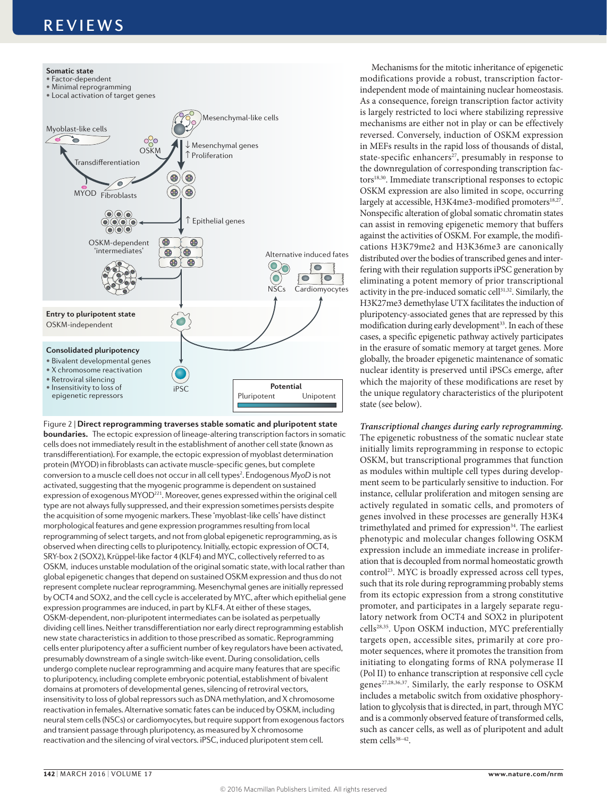

**boundaries.** The ectopic expression of lineage-altering transcription factors in somatic Figure 2 | **Direct reprogramming traverses stable somatic and pluripotent state**  cells does not immediately result in the establishment of another cell state (known as transdifferentiation). For example, the ectopic expression of myoblast determination protein (MYOD) in fibroblasts can activate muscle-specific genes, but complete conversion to a muscle cell does not occur in all cell types<sup>2</sup>. Endogenous MyoD is not activated, suggesting that the myogenic programme is dependent on sustained expression of exogenous MYOD<sup>221</sup>. Moreover, genes expressed within the original cell type are not always fully suppressed, and their expression sometimes persists despite the acquisition of some myogenic markers. These 'myoblast-like cells' have distinct morphological features and gene expression programmes resulting from local reprogramming of select targets, and not from global epigenetic reprogramming, as is observed when directing cells to pluripotency. Initially, ectopic expression of OCT4, SRY-box 2 (SOX2), Krüppel-like factor 4 (KLF4) and MYC, collectively referred to as OSKM, induces unstable modulation of the original somatic state, with local rather than global epigenetic changes that depend on sustained OSKM expression and thus do not represent complete nuclear reprogramming. Mesenchymal genes are initially repressed by OCT4 and SOX2, and the cell cycle is accelerated by MYC, after which epithelial gene expression programmes are induced, in part by KLF4. At either of these stages, OSKM-dependent, non-pluripotent intermediates can be isolated as perpetually dividing cell lines. Neither transdifferentiation nor early direct reprogramming establish new state characteristics in addition to those prescribed as somatic. Reprogramming cells enter pluripotency after a sufficient number of key regulators have been activated, presumably downstream of a single switch-like event. During consolidation, cells undergo complete nuclear reprogramming and acquire many features that are specific to pluripotency, including complete embryonic potential, establishment of bivalent domains at promoters of developmental genes, silencing of retroviral vectors, insensitivity to loss of global repressors such as DNA methylation, and X chromosome reactivation in females. Alternative somatic fates can be induced by OSKM, including neural stem cells (NSCs) or cardiomyocytes, but require support from exogenous factors and transient passage through pluripotency, as measured by X chromosome reactivation and the silencing of viral vectors. iPSC, induced pluripotent stem cell.

Mechanisms for the mitotic inheritance of epigenetic modifications provide a robust, transcription factorindependent mode of maintaining nuclear homeostasis. As a consequence, foreign transcription factor activity is largely restricted to loci where stabilizing repressive mechanisms are either not in play or can be effectively reversed. Conversely, induction of OSKM expression in MEFs results in the rapid loss of thousands of distal, state-specific enhancers<sup>27</sup>, presumably in response to the downregulation of corresponding transcription factors18,30. Immediate transcriptional responses to ectopic OSKM expression are also limited in scope, occurring largely at accessible, H3K4me3-modified promoters<sup>18,27</sup>. Nonspecific alteration of global somatic chromatin states can assist in removing epigenetic memory that buffers against the activities of OSKM. For example, the modifications H3K79me2 and H3K36me3 are canonically distributed over the bodies of transcribed genes and interfering with their regulation supports iPSC generation by eliminating a potent memory of prior transcriptional activity in the pre-induced somatic cell<sup>31,32</sup>. Similarly, the H3K27me3 demethylase UTX facilitates the induction of pluripotency-associated genes that are repressed by this modification during early development<sup>33</sup>. In each of these cases, a specific epigenetic pathway actively participates in the erasure of somatic memory at target genes. More globally, the broader epigenetic maintenance of somatic nuclear identity is preserved until iPSCs emerge, after which the majority of these modifications are reset by the unique regulatory characteristics of the pluripotent state (see below).

*Transcriptional changes during early reprogramming.*

The epigenetic robustness of the somatic nuclear state initially limits reprogramming in response to ectopic OSKM, but transcriptional programmes that function as modules within multiple cell types during development seem to be particularly sensitive to induction. For instance, cellular proliferation and mitogen sensing are actively regulated in somatic cells, and promoters of genes involved in these processes are generally H3K4 trimethylated and primed for expression<sup>34</sup>. The earliest phenotypic and molecular changes following OSKM expression include an immediate increase in proliferation that is decoupled from normal homeostatic growth control23. MYC is broadly expressed across cell types, such that its role during reprogramming probably stems from its ectopic expression from a strong constitutive promoter, and participates in a largely separate regulatory network from OCT4 and SOX2 in pluripotent cells<sup>28,35</sup>. Upon OSKM induction, MYC preferentially targets open, accessible sites, primarily at core promoter sequences, where it promotes the transition from initiating to elongating forms of RNA polymerase II (Pol II) to enhance transcription at responsive cell cycle genes<sup>27,28,36,37</sup>. Similarly, the early response to OSKM includes a metabolic switch from oxidative phosphorylation to glycolysis that is directed, in part, through MYC and is a commonly observed feature of transformed cells, such as cancer cells, as well as of pluripotent and adult stem cells<sup>38-42</sup>.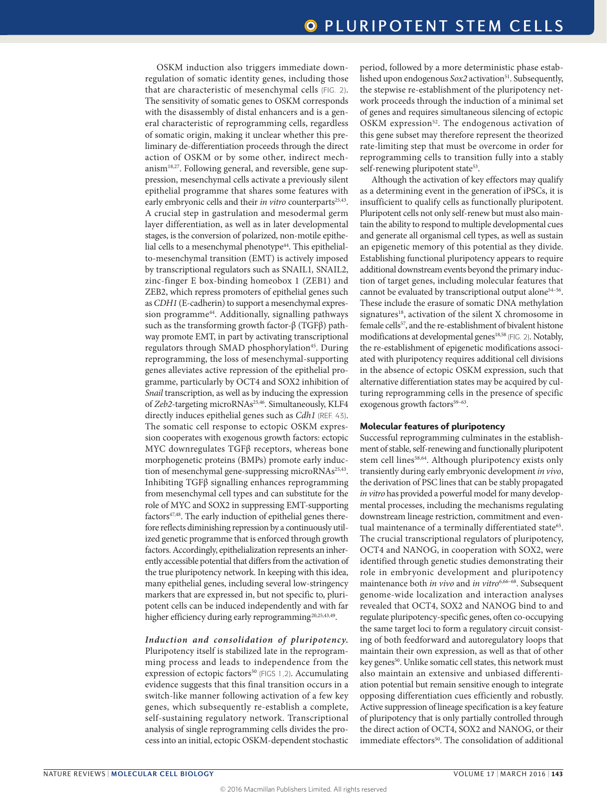OSKM induction also triggers immediate downregulation of somatic identity genes, including those that are characteristic of mesenchymal cells (FIG. 2). The sensitivity of somatic genes to OSKM corresponds with the disassembly of distal enhancers and is a general characteristic of reprogramming cells, regardless of somatic origin, making it unclear whether this preliminary de-differentiation proceeds through the direct action of OSKM or by some other, indirect mechanism<sup>18,27</sup>. Following general, and reversible, gene suppression, mesenchymal cells activate a previously silent epithelial programme that shares some features with early embryonic cells and their *in vitro* counterparts<sup>25,43</sup>. A crucial step in gastrulation and mesodermal germ layer differentiation, as well as in later developmental stages, is the conversion of polarized, non-motile epithelial cells to a mesenchymal phenotype<sup>44</sup>. This epithelialto-mesenchymal transition (EMT) is actively imposed by transcriptional regulators such as SNAIL1*,* SNAIL2, zinc-finger E box-binding homeobox 1 (ZEB1) and ZEB2, which repress promoters of epithelial genes such as *CDH1* (E-cadherin) to support a mesenchymal expression programme<sup>44</sup>. Additionally, signalling pathways such as the transforming growth factor- $\beta$  (TGF $\beta$ ) pathway promote EMT, in part by activating transcriptional regulators through SMAD phosphorylation<sup>45</sup>. During reprogramming, the loss of mesenchymal-supporting genes alleviates active repression of the epithelial programme, particularly by OCT4 and SOX2 inhibition of *Snail* transcription, as well as by inducing the expression of Zeb2-targeting microRNAs<sup>25,46</sup>. Simultaneously, KLF4 directly induces epithelial genes such as *Cdh1* (REF. 43). The somatic cell response to ectopic OSKM expression cooperates with exogenous growth factors: ectopic MYC downregulates TGFβ receptors, whereas bone morphogenetic proteins (BMPs) promote early induction of mesenchymal gene-suppressing microRNAs<sup>25,43</sup>. Inhibiting TGFβ signalling enhances reprogramming from mesenchymal cell types and can substitute for the role of MYC and SOX2 in suppressing EMT-supporting factors<sup>47,48</sup>. The early induction of epithelial genes therefore reflects diminishing repression by a continuously utilized genetic programme that is enforced through growth factors. Accordingly, epithelialization represents an inherently accessible potential that differs from the activation of the true pluripotency network. In keeping with this idea, many epithelial genes, including several low-stringency markers that are expressed in, but not specific to, pluripotent cells can be induced independently and with far higher efficiency during early reprogramming<sup>20,25,43,49</sup>.

### *Induction and consolidation of pluripotency.* Pluripotency itself is stabilized late in the reprogramming process and leads to independence from the expression of ectopic factors<sup>50</sup> (FIGS 1,2). Accumulating evidence suggests that this final transition occurs in a switch-like manner following activation of a few key genes, which subsequently re-establish a complete, self-sustaining regulatory network. Transcriptional analysis of single reprogramming cells divides the process into an initial, ectopic OSKM-dependent stochastic

period, followed by a more deterministic phase established upon endogenous *Sox2* activation<sup>51</sup>. Subsequently, the stepwise re-establishment of the pluripotency network proceeds through the induction of a minimal set of genes and requires simultaneous silencing of ectopic OSKM expression $52$ . The endogenous activation of this gene subset may therefore represent the theorized rate-limiting step that must be overcome in order for reprogramming cells to transition fully into a stably self-renewing pluripotent state<sup>53</sup>.

Although the activation of key effectors may qualify as a determining event in the generation of iPSCs, it is insufficient to qualify cells as functionally pluripotent. Pluripotent cells not only self-renew but must also maintain the ability to respond to multiple developmental cues and generate all organismal cell types, as well as sustain an epigenetic memory of this potential as they divide. Establishing functional pluripotency appears to require additional downstream events beyond the primary induction of target genes, including molecular features that cannot be evaluated by transcriptional output alone<sup>54-56</sup>. These include the erasure of somatic DNA methylation signatures<sup>18</sup>, activation of the silent X chromosome in female cells<sup>57</sup>, and the re-establishment of bivalent histone modifications at developmental genes<sup>18,58</sup> (FIG. 2). Notably, the re-establishment of epigenetic modifications associated with pluripotency requires additional cell divisions in the absence of ectopic OSKM expression, such that alternative differentiation states may be acquired by culturing reprogramming cells in the presence of specific exogenous growth factors<sup>59-63</sup>.

### Molecular features of pluripotency

Successful reprogramming culminates in the establishment of stable, self-renewing and functionally pluripotent stem cell lines<sup>58,64</sup>. Although pluripotency exists only transiently during early embryonic development *in vivo*, the derivation of PSC lines that can be stably propagated *in vitro* has provided a powerful model for many developmental processes, including the mechanisms regulating downstream lineage restriction, commitment and eventual maintenance of a terminally differentiated state<sup>65</sup>. The crucial transcriptional regulators of pluripotency, OCT4 and NANOG, in cooperation with SOX2, were identified through genetic studies demonstrating their role in embryonic development and pluripotency maintenance both *in vivo* and *in vitro*<sup>6,66-68</sup>. Subsequent genome-wide localization and interaction analyses revealed that OCT4, SOX2 and NANOG bind to and regulate pluripotency-specific genes, often co- occupying the same target loci to form a regulatory circuit consisting of both feedforward and autoregulatory loops that maintain their own expression, as well as that of other key genes<sup>50</sup>. Unlike somatic cell states, this network must also maintain an extensive and unbiased differentiation potential but remain sensitive enough to integrate opposing differentiation cues efficiently and robustly. Active suppression of lineage specification is a key feature of pluripotency that is only partially controlled through the direct action of OCT4, SOX2 and NANOG, or their immediate effectors<sup>50</sup>. The consolidation of additional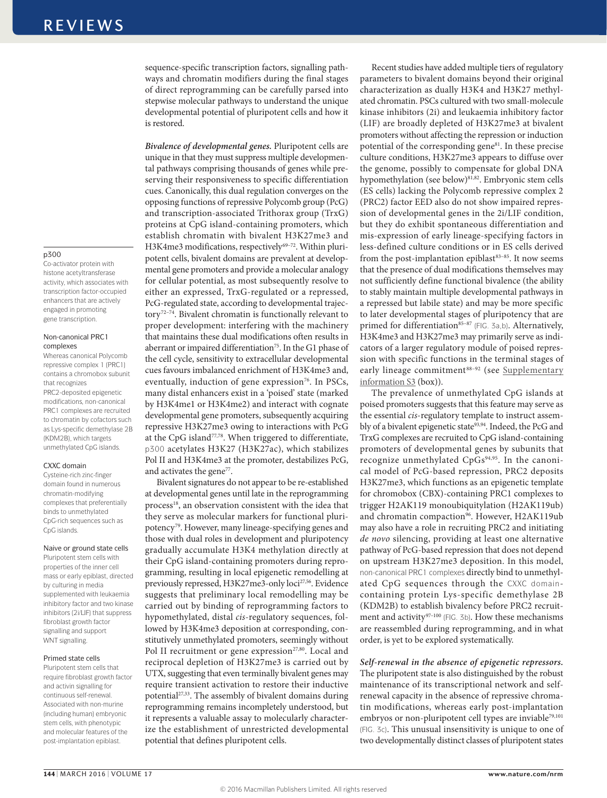### p300

Co-activator protein with histone acetyltransferase activity, which associates with transcription factor-occupied enhancers that are actively engaged in promoting gene transcription.

### Non-canonical PRC1 complexes

Whereas canonical Polycomb repressive complex 1 (PRC1) contains a chromobox subunit that recognizes PRC2-deposited epigenetic modifications, non-canonical PRC1 complexes are recruited to chromatin by cofactors such as Lys-specific demethylase 2B (KDM2B), which targets unmethylated CpG islands.

### CXXC domain

Cysteine-rich zinc-finger domain found in numerous chromatin-modifying complexes that preferentially binds to unmethylated CpG-rich sequences such as CnG islands.

### Naive or ground state cells

Pluripotent stem cells with properties of the inner cell mass or early epiblast, directed by culturing in media supplemented with leukaemia inhibitory factor and two kinase inhibitors (2i/LIF) that suppress fibroblast growth factor signalling and support WNT signalling.

### Primed state cells

Pluripotent stem cells that require fibroblast growth factor and activin signalling for continuous self-renewal. Associated with non-murine (including human) embryonic stem cells, with phenotypic and molecular features of the post-implantation epiblast.

sequence-specific transcription factors, signalling pathways and chromatin modifiers during the final stages of direct reprogramming can be carefully parsed into stepwise molecular pathways to understand the unique developmental potential of pluripotent cells and how it is restored.

*Bivalence of developmental genes.* Pluripotent cells are unique in that they must suppress multiple developmental pathways comprising thousands of genes while preserving their responsiveness to specific differentiation cues. Canonically, this dual regulation converges on the opposing functions of repressive Polycomb group (PcG) and transcription-associated Trithorax group (TrxG) proteins at CpG island-containing promoters, which establish chromatin with bivalent H3K27me3 and H3K4me3 modifications, respectively<sup>69-72</sup>. Within pluripotent cells, bivalent domains are prevalent at developmental gene promoters and provide a molecular analogy for cellular potential, as most subsequently resolve to either an expressed, TrxG-regulated or a repressed, PcG-regulated state, according to developmental trajectory72–74. Bivalent chromatin is functionally relevant to proper development: interfering with the machinery that maintains these dual modifications often results in aberrant or impaired differentiation<sup>75</sup>. In the G1 phase of the cell cycle, sensitivity to extracellular developmental cues favours imbalanced enrichment of H3K4me3 and, eventually, induction of gene expression $76$ . In PSCs, many distal enhancers exist in a 'poised' state (marked by H3K4me1 or H3K4me2) and interact with cognate developmental gene promoters, subsequently acquiring repressive H3K27me3 owing to interactions with PcG at the CpG island<sup>77,78</sup>. When triggered to differentiate, p300 acetylates H3K27 (H3K27ac), which stabilizes Pol II and H3K4me3 at the promoter, destabilizes PcG, and activates the gene<sup>77</sup>.

Bivalent signatures do not appear to be re-established at developmental genes until late in the reprogramming process<sup>18</sup>, an observation consistent with the idea that they serve as molecular markers for functional pluripotency<sup>79</sup>. However, many lineage-specifying genes and those with dual roles in development and pluripotency gradually accumulate H3K4 methylation directly at their CpG island-containing promoters during reprogramming, resulting in local epigenetic remodelling at previously repressed, H3K27me3-only loci<sup>27,56</sup>. Evidence suggests that preliminary local remodelling may be carried out by binding of reprogramming factors to hypomethylated, distal *cis*-regulatory sequences, followed by H3K4me3 deposition at corresponding, constitutively unmethylated promoters, seemingly without Pol II recruitment or gene expression<sup>27,80</sup>. Local and reciprocal depletion of H3K27me3 is carried out by UTX, suggesting that even terminally bivalent genes may require transient activation to restore their inductive potential<sup>27,33</sup>. The assembly of bivalent domains during reprogramming remains incompletely understood, but it represents a valuable assay to molecularly characterize the establishment of unrestricted developmental potential that defines pluripotent cells.

Recent studies have added multiple tiers of regulatory parameters to bivalent domains beyond their original characterization as dually H3K4 and H3K27 methylated chromatin. PSCs cultured with two small-molecule kinase inhibitors (2i) and leukaemia inhibitory factor (LIF) are broadly depleted of H3K27me3 at bivalent promoters without affecting the repression or induction potential of the corresponding gene81. In these precise culture conditions, H3K27me3 appears to diffuse over the genome, possibly to compensate for global DNA hypomethylation (see below)<sup>81,82</sup>. Embryonic stem cells (ES cells) lacking the Polycomb repressive complex 2 (PRC2) factor EED also do not show impaired repression of developmental genes in the 2i/LIF condition, but they do exhibit spontaneous differentiation and mis-expression of early lineage-specifying factors in less-defined culture conditions or in ES cells derived from the post-implantation epiblast<sup>83-85</sup>. It now seems that the presence of dual modifications themselves may not sufficiently define functional bivalence (the ability to stably maintain multiple developmental pathways in a repressed but labile state) and may be more specific to later developmental stages of pluripotency that are primed for differentiation<sup>85-87</sup> (FIG. 3a,b). Alternatively, H3K4me3 and H3K27me3 may primarily serve as indicators of a larger regulatory module of poised repression with specific functions in the terminal stages of early lineage commitment<sup>88-92</sup> (see Supplementary [information S3](http://www.nature.com/nrm/journal/vaop/ncurrent/full/nrm.2016.6.html#supplementary-information) (box)).

The prevalence of unmethylated CpG islands at poised promoters suggests that this feature may serve as the essential *cis*-regulatory template to instruct assembly of a bivalent epigenetic state<sup>93,94</sup>. Indeed, the PcG and TrxG complexes are recruited to CpG island-containing promoters of developmental genes by subunits that recognize unmethylated CpGs<sup>94,95</sup>. In the canonical model of PcG-based repression, PRC2 deposits H3K27me3, which functions as an epigenetic template for chromobox (CBX)-containing PRC1 complexes to trigger H2AK119 monoubiquitylation (H2AK119ub) and chromatin compaction<sup>96</sup>. However, H2AK119ub may also have a role in recruiting PRC2 and initiating *de novo* silencing, providing at least one alternative pathway of PcG-based repression that does not depend on upstream H3K27me3 deposition. In this model, non-canonical PRC1 complexes directly bind to unmethylated CpG sequences through the CXXC domaincontaining protein Lys-specific demethylase 2B (KDM2B) to establish bivalency before PRC2 recruitment and activity<sup>97-100</sup> (FIG. 3b). How these mechanisms are reassembled during reprogramming, and in what order, is yet to be explored systematically.

*Self-renewal in the absence of epigenetic repressors.* The pluripotent state is also distinguished by the robust maintenance of its transcriptional network and selfrenewal capacity in the absence of repressive chromatin modifications, whereas early post-implantation embryos or non-pluripotent cell types are inviable<sup>79,101</sup> (FIG. 3c). This unusual insensitivity is unique to one of two developmentally distinct classes of pluripotent states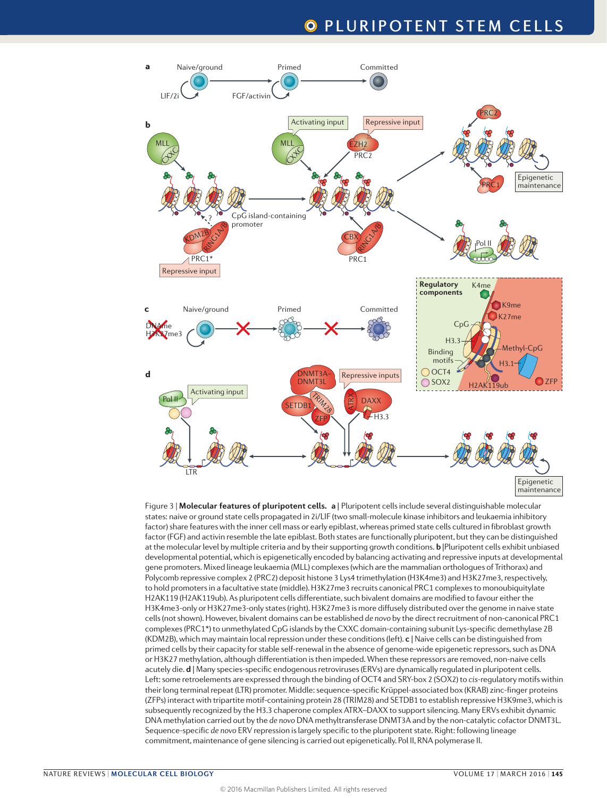### **PLURIPOTENT STEM CELLS**



**Nature Reviews** | **Molecular Cell Biology** states: naive or ground state cells propagated in 2i/LIF (two small-molecule kinase inhibitors and leukaemia inhibitory Figure 3 | **Molecular features of pluripotent cells. a** | Pluripotent cells include several distinguishable molecular factor) share features with the inner cell mass or early epiblast, whereas primed state cells cultured in fibroblast growth factor (FGF) and activin resemble the late epiblast. Both states are functionally pluripotent, but they can be distinguished at the molecular level by multiple criteria and by their supporting growth conditions. **b** |Pluripotent cells exhibit unbiased developmental potential, which is epigenetically encoded by balancing activating and repressive inputs at developmental gene promoters. Mixed lineage leukaemia (MLL) complexes (which are the mammalian orthologues of Trithorax) and Polycomb repressive complex 2 (PRC2) deposit histone 3 Lys4 trimethylation (H3K4me3) and H3K27me3, respectively, to hold promoters in a facultative state (middle). H3K27me3 recruits canonical PRC1 complexes to monoubiquitylate H2AK119 (H2AK119ub). As pluripotent cells differentiate, such bivalent domains are modified to favour either the H3K4me3-only or H3K27me3-only states (right). H3K27me3 is more diffusely distributed over the genome in naive state cells (not shown). However, bivalent domains can be established *de novo* by the direct recruitment of non-canonical PRC1 complexes (PRC1\*) to unmethylated CpG islands by the CXXC domain-containing subunit Lys-specific demethylase 2B (KDM2B), which may maintain local repression under these conditions (left). **c** | Naive cells can be distinguished from primed cells by their capacity for stable self-renewal in the absence of genome-wide epigenetic repressors, such as DNA or H3K27 methylation, although differentiation is then impeded. When these repressors are removed, non-naive cells acutely die. **d** | Many species-specific endogenous retroviruses (ERVs) are dynamically regulated in pluripotent cells. Left: some retroelements are expressed through the binding of OCT4 and SRY-box 2 (SOX2) to *cis*-regulatory motifs within their long terminal repeat (LTR) promoter. Middle: sequence-specific Krüppel-associated box (KRAB) zinc-finger proteins (ZFPs) interact with tripartite motif-containing protein 28 (TRIM28) and SETDB1 to establish repressive H3K9me3, which is subsequently recognized by the H3.3 chaperone complex ATRX–DAXX to support silencing. Many ERVs exhibit dynamic DNA methylation carried out by the *de novo* DNA methyltransferase DNMT3A and by the non-catalytic cofactor DNMT3L. Sequence-specific *de novo* ERV repression is largely specific to the pluripotent state. Right: following lineage commitment, maintenance of gene silencing is carried out epigenetically. Pol II, RNA polymerase II.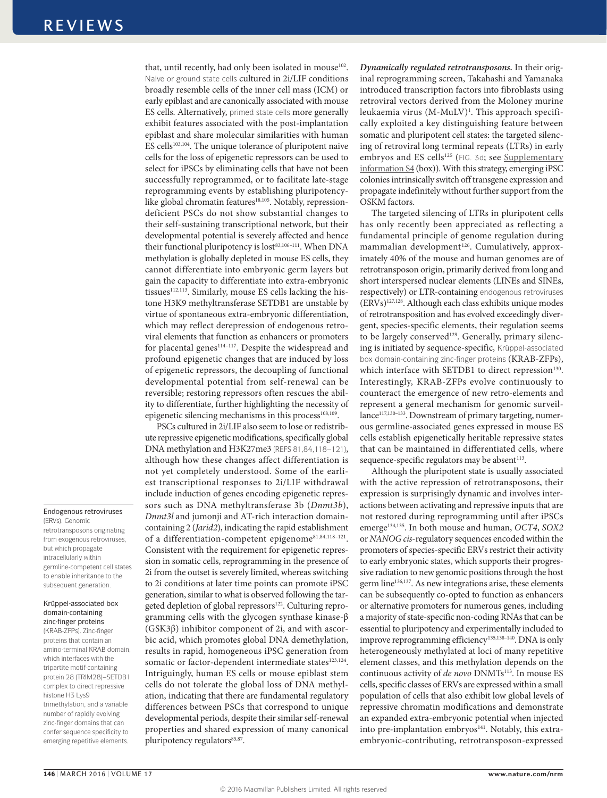#### Endogenous retroviruses (ERVs). Genomic

retrotransposons originating from exogenous retroviruses, but which propagate intracellularly within germline-competent cell states to enable inheritance to the subsequent generation.

### Krüppel-associated box domain-containing zinc-finger proteins

(KRAB-ZFPs). Zinc-finger proteins that contain an amino-terminal KRAB domain, which interfaces with the tripartite motif-containing protein 28 (TRIM28)–SETDB1 complex to direct repressive histone H3 Lys9 trimethylation, and a variable number of rapidly evolving zinc-finger domains that can confer sequence specificity to emerging repetitive elements.

that, until recently, had only been isolated in mouse<sup>102</sup>. Naive or ground state cells cultured in 2i/LIF conditions broadly resemble cells of the inner cell mass (ICM) or early epiblast and are canonically associated with mouse ES cells. Alternatively, primed state cells more generally exhibit features associated with the post-implantation epiblast and share molecular similarities with human ES cells<sup>103,104</sup>. The unique tolerance of pluripotent naive cells for the loss of epigenetic repressors can be used to select for iPSCs by eliminating cells that have not been successfully reprogrammed, or to facilitate late-stage reprogramming events by establishing pluripotencylike global chromatin features<sup>18,105</sup>. Notably, repressiondeficient PSCs do not show substantial changes to their self-sustaining transcriptional network, but their developmental potential is severely affected and hence their functional pluripotency is lost<sup>83,106-111</sup>. When DNA methylation is globally depleted in mouse ES cells, they cannot differentiate into embryonic germ layers but gain the capacity to differentiate into extra-embryonic tissues<sup>112,113</sup>. Similarly, mouse ES cells lacking the histone H3K9 methyltransferase SETDB1 are unstable by virtue of spontaneous extra-embryonic differentiation, which may reflect derepression of endogenous retroviral elements that function as enhancers or promoters for placental genes<sup>114-117</sup>. Despite the widespread and profound epigenetic changes that are induced by loss of epigenetic repressors, the decoupling of functional developmental potential from self-renewal can be reversible; restoring repressors often rescues the ability to differentiate, further highlighting the necessity of epigenetic silencing mechanisms in this process<sup>108,109</sup>.

PSCs cultured in 2i/LIF also seem to lose or redistribute repressive epigenetic modifications, specifically global DNA methylation and H3K27me3 (REFS 81,84,118–121), although how these changes affect differentiation is not yet completely understood. Some of the earliest transcriptional responses to 2i/LIF withdrawal include induction of genes encoding epigenetic repressors such as DNA methyltransferase 3b (*Dnmt3b*), *Dnmt3l* and jumonji and AT-rich interaction domaincontaining 2 (*Jarid2*), indicating the rapid establishment of a differentiation-competent epigenome<sup>81,84,118-121</sup>. Consistent with the requirement for epigenetic repression in somatic cells, reprogramming in the presence of 2i from the outset is severely limited, whereas switching to 2i conditions at later time points can promote iPSC generation, similar to what is observed following the targeted depletion of global repressors<sup>122</sup>. Culturing reprogramming cells with the glycogen synthase kinase-β (GSK3β) inhibitor component of 2i, and with ascorbic acid, which promotes global DNA demethylation, results in rapid, homogeneous iPSC generation from somatic or factor-dependent intermediate states<sup>123,124</sup>. Intriguingly, human ES cells or mouse epiblast stem cells do not tolerate the global loss of DNA methylation, indicating that there are fundamental regulatory differences between PSCs that correspond to unique developmental periods, despite their similar self-renewal properties and shared expression of many canonical pluripotency regulators<sup>85,87</sup>.

*Dynamically regulated retrotransposons.* In their original reprogramming screen, Takahashi and Yamanaka introduced transcription factors into fibroblasts using retroviral vectors derived from the Moloney murine leukaemia virus (M-MuLV)<sup>1</sup>. This approach specifically exploited a key distinguishing feature between somatic and pluripotent cell states: the targeted silencing of retroviral long terminal repeats (LTRs) in early embryos and ES cells<sup>125</sup> (FIG. 3d; see Supplementary [information S4](http://www.nature.com/nrm/journal/vaop/ncurrent/full/nrm.2016.6.html#supplementary-information) (box)). With this strategy, emerging iPSC colonies intrinsically switch off transgene expression and propagate indefinitely without further support from the OSKM factors.

The targeted silencing of LTRs in pluripotent cells has only recently been appreciated as reflecting a fundamental principle of genome regulation during mammalian development<sup>126</sup>. Cumulatively, approximately 40% of the mouse and human genomes are of retrotransposon origin, primarily derived from long and short interspersed nuclear elements (LINEs and SINEs, respectively) or LTR-containing endogenous retroviruses  $(ERVs)^{127,128}$ . Although each class exhibits unique modes of retrotransposition and has evolved exceedingly divergent, species-specific elements, their regulation seems to be largely conserved<sup>129</sup>. Generally, primary silencing is initiated by sequence-specific, Krüppel-associated box domain-containing zinc-finger proteins (KRAB-ZFPs), which interface with SETDB1 to direct repression<sup>130</sup>. Interestingly, KRAB-ZFPs evolve continuously to counteract the emergence of new retro-elements and represent a general mechanism for genomic surveillance<sup>117,130-133</sup>. Downstream of primary targeting, numerous germline-associated genes expressed in mouse ES cells establish epigenetically heritable repressive states that can be maintained in differentiated cells, where sequence-specific regulators may be absent<sup>113</sup>.

Although the pluripotent state is usually associated with the active repression of retrotransposons, their expression is surprisingly dynamic and involves interactions between activating and repressive inputs that are not restored during reprogramming until after iPSCs emerge134,135. In both mouse and human, *OCT4*, *SOX2* or *NANOG cis*-regulatory sequences encoded within the promoters of species-specific ERVs restrict their activity to early embryonic states, which supports their progressive radiation to new genomic positions through the host germ line<sup>136,137</sup>. As new integrations arise, these elements can be subsequently co-opted to function as enhancers or alternative promoters for numerous genes, including a majority of state-specific non-coding RNAs that can be essential to pluripotency and experimentally included to improve reprogramming efficiency<sup>135,138-140</sup>. DNA is only heterogeneously methylated at loci of many repetitive element classes, and this methylation depends on the continuous activity of *de novo* DNMTs<sup>113</sup>. In mouse ES cells, specific classes of ERVs are expressed within a small population of cells that also exhibit low global levels of repressive chromatin modifications and demonstrate an expanded extra-embryonic potential when injected into pre-implantation embryos<sup>141</sup>. Notably, this extraembryonic-contributing, retrotransposon-expressed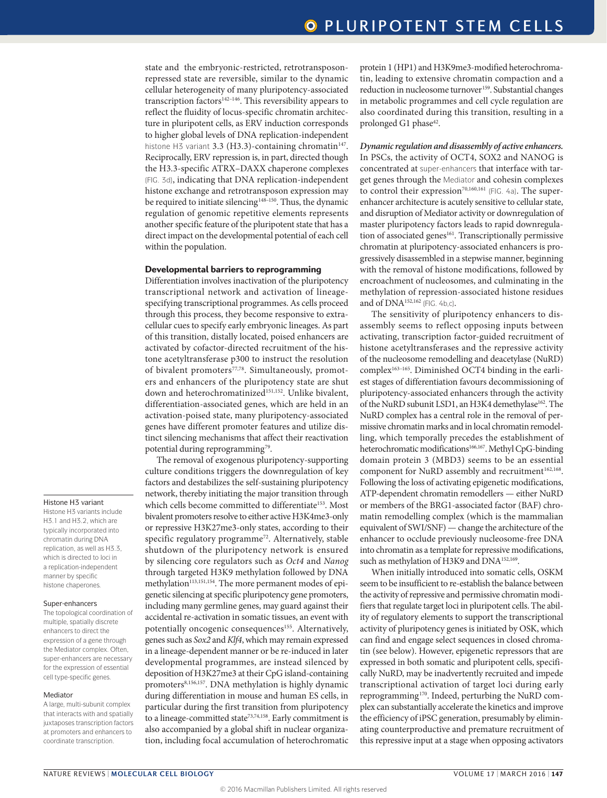state and the embryonic-restricted, retrotransposonrepressed state are reversible, similar to the dynamic cellular heterogeneity of many pluripotency-associated transcription factors<sup>142–146</sup>. This reversibility appears to reflect the fluidity of locus-specific chromatin architecture in pluripotent cells, as ERV induction corresponds to higher global levels of DNA replication-independent histone H3 variant  $3.3$  (H3.3)-containing chromatin<sup>147</sup>. Reciprocally, ERV repression is, in part, directed though the H3.3-specific ATRX–DAXX chaperone complexes (FIG. 3d), indicating that DNA replication-independent histone exchange and retrotransposon expression may be required to initiate silencing<sup>148-150</sup>. Thus, the dynamic regulation of genomic repetitive elements represents another specific feature of the pluripotent state that has a direct impact on the developmental potential of each cell within the population.

### Developmental barriers to reprogramming

Differentiation involves inactivation of the pluripotency transcriptional network and activation of lineagespecifying transcriptional programmes. As cells proceed through this process, they become responsive to extracellular cues to specify early embryonic lineages. As part of this transition, distally located, poised enhancers are activated by cofactor-directed recruitment of the histone acetyltransferase p300 to instruct the resolution of bivalent promoters<sup>77,78</sup>. Simultaneously, promoters and enhancers of the pluripotency state are shut down and heterochromatinized<sup>151,152</sup>. Unlike bivalent, differentiation-associated genes, which are held in an activation-poised state, many pluripotency-associated genes have different promoter features and utilize distinct silencing mechanisms that affect their reactivation potential during reprogramming<sup>79</sup>.

The removal of exogenous pluripotency-supporting culture conditions triggers the downregulation of key factors and destabilizes the self-sustaining pluripotency network, thereby initiating the major transition through which cells become committed to differentiate<sup>153</sup>. Most bivalent promoters resolve to either active H3K4me3-only or repressive H3K27me3-only states, according to their specific regulatory programme<sup>72</sup>. Alternatively, stable shutdown of the pluripotency network is ensured by silencing core regulators such as *Oct4* and *Nanog* through targeted H3K9 methylation followed by DNA methylation<sup>113,151,154</sup>. The more permanent modes of epigenetic silencing at specific pluripotency gene promoters, including many germline genes, may guard against their accidental re-activation in somatic tissues, an event with potentially oncogenic consequences<sup>155</sup>. Alternatively, genes such as *Sox2* and *Klf4*, which may remain expressed in a lineage-dependent manner or be re-induced in later developmental programmes, are instead silenced by deposition of H3K27me3 at their CpG island-containing promoters<sup>8,156,157</sup>. DNA methylation is highly dynamic during differentiation in mouse and human ES cells, in particular during the first transition from pluripotency to a lineage-committed state<sup>73,74,158</sup>. Early commitment is also accompanied by a global shift in nuclear organization, including focal accumulation of heterochromatic

protein 1 (HP1) and H3K9me3-modified heterochromatin, leading to extensive chromatin compaction and a reduction in nucleosome turnover<sup>159</sup>. Substantial changes in metabolic programmes and cell cycle regulation are also coordinated during this transition, resulting in a prolonged G1 phase<sup>42</sup>.

*Dynamic regulation and disassembly of active enhancers.* In PSCs, the activity of OCT4, SOX2 and NANOG is concentrated at super-enhancers that interface with target genes through the Mediator and cohesin complexes to control their expression<sup>70,160,161</sup> (FIG. 4a). The superenhancer architecture is acutely sensitive to cellular state, and disruption of Mediator activity or downregulation of master pluripotency factors leads to rapid downregulation of associated genes<sup>161</sup>. Transcriptionally permissive chromatin at pluripotency-associated enhancers is progressively disassembled in a stepwise manner, beginning with the removal of histone modifications, followed by encroachment of nucleosomes, and culminating in the methylation of repression-associated histone residues and of  $DNA^{152,162}$  (FIG. 4b,c).

The sensitivity of pluripotency enhancers to disassembly seems to reflect opposing inputs between activating, transcription factor-guided recruitment of histone acetyltransferases and the repressive activity of the nucleosome remodelling and deacetylase (NuRD) complex<sup>163-165</sup>. Diminished OCT4 binding in the earliest stages of differentiation favours decommissioning of pluripotency-associated enhancers through the activity of the NuRD subunit LSD1, an H3K4 demethylase<sup>162</sup>. The NuRD complex has a central role in the removal of permissive chromatin marks and in local chromatin remodelling, which temporally precedes the establishment of heterochromatic modifications<sup>166,167</sup>. Methyl CpG-binding domain protein 3 (MBD3) seems to be an essential component for NuRD assembly and recruitment<sup>162,168</sup>. Following the loss of activating epigenetic modifications, ATP-dependent chromatin remodellers — either NuRD or members of the BRG1-associated factor (BAF) chromatin remodelling complex (which is the mammalian equivalent of SWI/SNF) — change the architecture of the enhancer to occlude previously nucleosome-free DNA into chromatin as a template for repressive modifications, such as methylation of H3K9 and DNA<sup>152,169</sup>.

When initially introduced into somatic cells, OSKM seem to be insufficient to re-establish the balance between the activity of repressive and permissive chromatin modifiers that regulate target loci in pluripotent cells. The ability of regulatory elements to support the transcriptional activity of pluripotency genes is initiated by OSK, which can find and engage select sequences in closed chromatin (see below). However, epigenetic repressors that are expressed in both somatic and pluripotent cells, specifically NuRD, may be inadvertently recruited and impede transcriptional activation of target loci during early reprogramming170. Indeed, perturbing the NuRD complex can substantially accelerate the kinetics and improve the efficiency of iPSC generation, presumably by eliminating counterproductive and premature recruitment of this repressive input at a stage when opposing activators

#### Histone H3 variant

Histone H3 variants include H3.1 and H3.2, which are typically incorporated into chromatin during DNA replication, as well as H3.3, which is directed to loci in a replication-independent manner by specific histone chaperones.

#### Super-enhancers

The topological coordination of multiple, spatially discrete enhancers to direct the expression of a gene through the Mediator complex. Often, super-enhancers are necessary for the expression of essential cell type-specific genes.

#### Mediator

A large, multi-subunit complex that interacts with and spatially juxtaposes transcription factors at promoters and enhancers to coordinate transcription.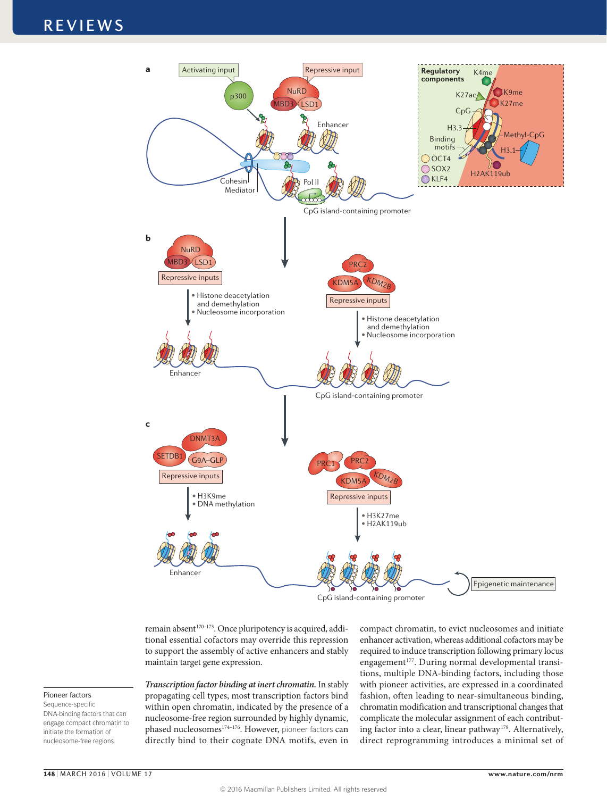

remain absent<sup>170-173</sup>. Once pluripotency is acquired, additional essential cofactors may override this repression to support the assembly of active enhancers and stably maintain target gene expression.

### Pioneer factors

Sequence-specific DNA-binding factors that can engage compact chromatin to initiate the formation of nucleosome-free regions.

*Transcription factor binding at inert chromatin.* In stably propagating cell types, most transcription factors bind within open chromatin, indicated by the presence of a nucleosome-free region surrounded by highly dynamic, phased nucleosomes<sup>174-176</sup>. However, pioneer factors can directly bind to their cognate DNA motifs, even in

compact chromatin, to evict nucleosomes and initiate enhancer activation, whereas additional cofactors may be required to induce transcription following primary locus engagement<sup>177</sup>. During normal developmental transitions, multiple DNA-binding factors, including those with pioneer activities, are expressed in a coordinated fashion, often leading to near-simultaneous binding, chromatin modification and transcriptional changes that complicate the molecular assignment of each contributing factor into a clear, linear pathway<sup>178</sup>. Alternatively, direct reprogramming introduces a minimal set of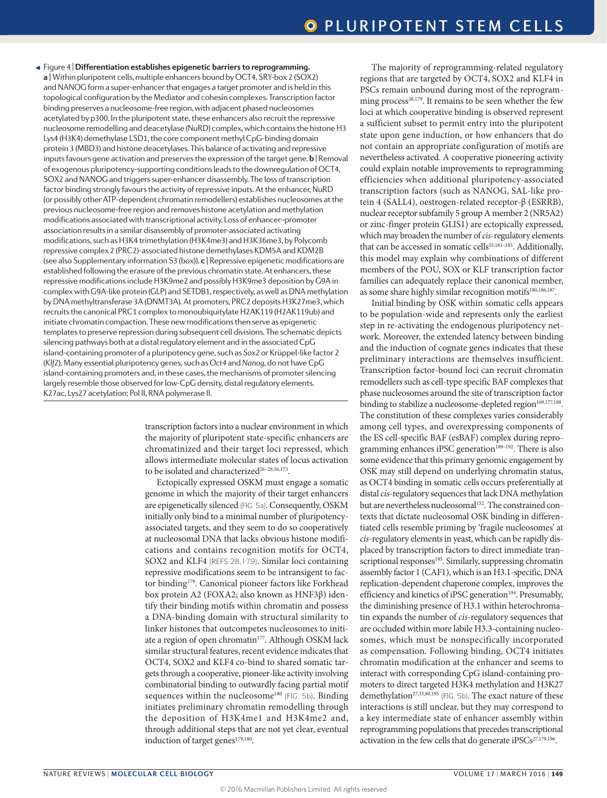Figure 4 |**Differentiation establishes epigenetic barriers to reprogramming.**  ◀ **a** | Within pluripotent cells, multiple enhancers bound by OCT4, SRY-box 2 (SOX2) and NANOG form a super-enhancer that engages a target promoter and is held in this topological configuration by the Mediator and cohesin complexes. Transcription factor binding preserves a nucleosome-free region, with adjacent phased nucleosomes acetylated by p300. In the pluripotent state, these enhancers also recruit the repressive nucleosome remodelling and deacetylase (NuRD) complex, which contains the histone H3 Lys4 (H3K4) demethylase LSD1, the core component methyl CpG-binding domain protein 3 (MBD3) and histone deacetylases. This balance of activating and repressive inputs favours gene activation and preserves the expression of the target gene. **b**| Removal of exogenous pluripotency-supporting conditions leads to the downregulation of OCT4, SOX2 and NANOG and triggers super-enhancer disassembly. The loss of transcription factor binding strongly favours the activity of repressive inputs. At the enhancer, NuRD (or possibly other ATP-dependent chromatin remodellers) establishes nucleosomes at the previous nucleosome-free region and removes histone acetylation and methylation modifications associated with transcriptional activity. Loss of enhancer–promoter association results in a similar disassembly of promoter-associated activating modifications, such as H3K4 trimethylation (H3K4me3) and H3K36me3, by Polycomb repressive complex 2 (PRC2)‑associated histone demethylases KDM5A and KDM2B (see also Supplementary information S3 (box)). **c** | Repressive epigenetic modifications are established following the erasure of the previous chromatin state. At enhancers, these repressive modifications include H3K9me2 and possibly H3K9me3 deposition by G9A in complex with G9A‑like protein (GLP) and SETDB1, respectively, as well as DNA methylation by DNA methyltransferase 3A (DNMT3A). At promoters, PRC2 deposits H3K27me3, which recruits the canonical PRC1 complex to monoubiquitylate H2AK119 (H2AK119ub) and initiate chromatin compaction. These new modifications then serve as epigenetic templates to preserve repression during subsequent cell divisions. The schematic depicts silencing pathways both at a distal regulatory element and in the associated CpG island-containing promoter of a pluripotency gene, such as *Sox2* or Krüppel-like factor 2 (*Klf2*). Many essential pluripotency genes, such as *Oct4* and *Nanog*, do not have CpG island-containing promoters and, in these cases, the mechanisms of promoter silencing largely resemble those observed for low-CpG density, distal regulatory elements. K27ac, Lys27 acetylation; Pol II, RNA polymerase II.

> transcription factors into a nuclear environment in which the majority of pluripotent state-specific enhancers are chromatinized and their target loci repressed, which allows intermediate molecular states of locus activation to be isolated and characterized<sup>26-28,56,173</sup>.

> Ectopically expressed OSKM must engage a somatic genome in which the majority of their target enhancers are epigenetically silenced (FIG. 5a). Consequently, OSKM initially only bind to a minimal number of pluripotencyassociated targets, and they seem to do so cooperatively at nucleosomal DNA that lacks obvious histone modifications and contains recognition motifs for OCT4, SOX2 and KLF4 (REFS 28,179). Similar loci containing repressive modifications seem to be intransigent to factor binding<sup>179</sup>. Canonical pioneer factors like Forkhead box protein A2 (FOXA2; also known as HNF3β) identify their binding motifs within chromatin and possess a DNA-binding domain with structural similarity to linker histones that outcompetes nucleosomes to initiate a region of open chromatin<sup>177</sup>. Although OSKM lack similar structural features, recent evidence indicates that OCT4, SOX2 and KLF4 co-bind to shared somatic targets through a cooperative, pioneer-like activity involving combinatorial binding to outwardly facing partial motif sequences within the nucleosome<sup>180</sup> (FIG. 5b). Binding initiates preliminary chromatin remodelling through the deposition of H3K4me1 and H3K4me2 and, through additional steps that are not yet clear, eventual induction of target genes<sup>179,180</sup>.

The majority of reprogramming-related regulatory regions that are targeted by OCT4, SOX2 and KLF4 in PSCs remain unbound during most of the reprogramming process<sup>28,179</sup>. It remains to be seen whether the few loci at which cooperative binding is observed represent a sufficient subset to permit entry into the pluripotent state upon gene induction, or how enhancers that do not contain an appropriate configuration of motifs are nevertheless activated. A cooperative pioneering activity could explain notable improvements to reprogramming efficiencies when additional pluripotency-associated transcription factors (such as NANOG, SAL-like protein 4 (SALL4), oestrogen-related receptor-β (ESRRB), nuclear receptor subfamily 5 group A member 2 (NR5A2) or zinc-finger protein GLIS1) are ectopically expressed, which may broaden the number of *cis*-regulatory elements that can be accessed in somatic cells53,181–185. Additionally, this model may explain why combinations of different members of the POU, SOX or KLF transcription factor families can adequately replace their canonical member, as some share highly similar recognition motifs<sup>180,186,187</sup>.

Initial binding by OSK within somatic cells appears to be population-wide and represents only the earliest step in re-activating the endogenous pluripotency network. Moreover, the extended latency between binding and the induction of cognate genes indicates that these preliminary interactions are themselves insufficient. Transcription factor-bound loci can recruit chromatin remodellers such as cell-type specific BAF complexes that phase nucleosomes around the site of transcription factor binding to stabilize a nucleosome-depleted region<sup>169,177,188</sup>. The constitution of these complexes varies considerably among cell types, and overexpressing components of the ES cell-specific BAF (esBAF) complex during reprogramming enhances iPSC generation<sup>189-192</sup>. There is also some evidence that this primary genomic engagement by OSK may still depend on underlying chromatin status, as OCT4 binding in somatic cells occurs preferentially at distal *cis*-regulatory sequences that lack DNA methylation but are nevertheless nucleosomal<sup>152</sup>. The constrained contexts that dictate nucleosomal OSK binding in differentiated cells resemble priming by 'fragile nucleosomes' at *cis*-regulatory elements in yeast, which can be rapidly displaced by transcription factors to direct immediate transcriptional responses<sup>193</sup>. Similarly, suppressing chromatin assembly factor 1 (CAF1), which is an H3.1-specific, DNA replication-dependent chaperone complex, improves the efficiency and kinetics of iPSC generation<sup>194</sup>. Presumably, the diminishing presence of H3.1 within heterochromatin expands the number of *cis*-regulatory sequences that are occluded within more labile H3.3-containing nucleosomes, which must be nonspecifically incorporated as compensation. Following binding, OCT4 initiates chromatin modification at the enhancer and seems to interact with corresponding CpG island-containing promoters to direct targeted H3K4 methylation and H3K27 demethylation<sup>27,33,80,195</sup> (FIG. 5b). The exact nature of these interactions is still unclear, but they may correspond to a key intermediate state of enhancer assembly within reprogramming populations that precedes transcriptional activation in the few cells that do generate iPSCs<sup>27,179,196</sup>.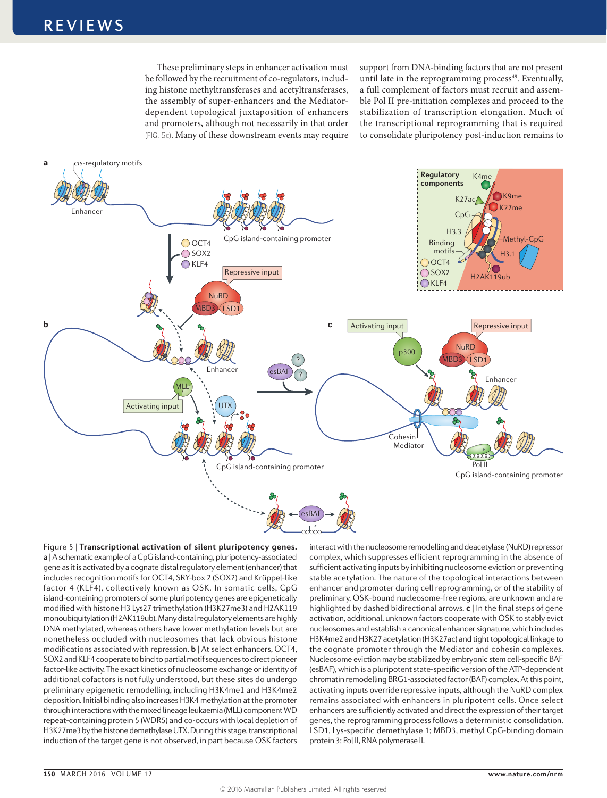These preliminary steps in enhancer activation must be followed by the recruitment of co-regulators, including histone methyltransferases and acetyltransferases, the assembly of super-enhancers and the Mediatordependent topological juxtaposition of enhancers and promoters, although not necessarily in that order (FIG. 5c). Many of these downstream events may require support from DNA-binding factors that are not present until late in the reprogramming process<sup>49</sup>. Eventually, a full complement of factors must recruit and assemble Pol II pre-initiation complexes and proceed to the stabilization of transcription elongation. Much of the transcriptional reprogramming that is required to consolidate pluripotency post-induction remains to



Figure 5 | **Transcriptional activation of silent pluripotency genes. a** |A schematic example of a CpG island-containing, pluripotency-associated gene as it is activated by a cognate distal regulatory element (enhancer) that includes recognition motifs for OCT4, SRY-box 2 (SOX2) and Krüppel-like factor 4 (KLF4), collectively known as OSK. In somatic cells, CpG island-containing promoters of some pluripotency genes are epigenetically modified with histone H3 Lys27 trimethylation (H3K27me3) and H2AK119 monoubiquitylation (H2AK119ub). Many distal regulatory elements are highly DNA methylated, whereas others have lower methylation levels but are nonetheless occluded with nucleosomes that lack obvious histone modifications associated with repression. **b** | At select enhancers, OCT4, SOX2 and KLF4 cooperate to bind to partial motif sequences to direct pioneer factor-like activity. The exact kinetics of nucleosome exchange or identity of additional cofactors is not fully understood, but these sites do undergo preliminary epigenetic remodelling, including H3K4me1 and H3K4me2 deposition. Initial binding also increases H3K4 methylation at the promoter through interactions with the mixed lineage leukaemia (MLL) component WD repeat-containing protein 5 (WDR5) and co‑occurs with local depletion of H3K27me3 by the histone demethylase UTX. During this stage, transcriptional induction of the target gene is not observed, in part because OSK factors

**Nature Reviews** | **Molecular Cell Biology** complex, which suppresses efficient reprogramming in the absence of interact with the nucleosome remodelling and deacetylase (NuRD) repressor sufficient activating inputs by inhibiting nucleosome eviction or preventing stable acetylation. The nature of the topological interactions between enhancer and promoter during cell reprogramming, or of the stability of preliminary, OSK-bound nucleosome-free regions, are unknown and are highlighted by dashed bidirectional arrows. **c** | In the final steps of gene activation, additional, unknown factors cooperate with OSK to stably evict nucleosomes and establish a canonical enhancer signature, which includes H3K4me2 and H3K27 acetylation (H3K27ac) and tight topological linkage to the cognate promoter through the Mediator and cohesin complexes. Nucleosome eviction may be stabilized by embryonic stem cell-specific BAF (esBAF), which is a pluripotent state-specific version of the ATP-dependent chromatin remodelling BRG1-associated factor (BAF) complex. At this point, activating inputs override repressive inputs, although the NuRD complex remains associated with enhancers in pluripotent cells. Once select enhancers are sufficiently activated and direct the expression of their target genes, the reprogramming process follows a deterministic consolidation. LSD1, Lys-specific demethylase 1; MBD3, methyl CpG-binding domain protein 3; Pol II, RNA polymerase II.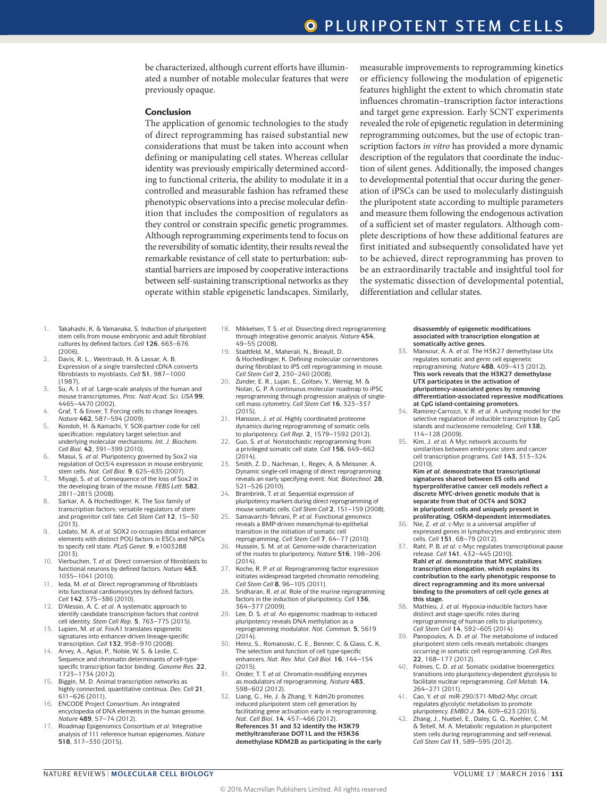be characterized, although current efforts have illuminated a number of notable molecular features that were previously opaque.

### Conclusion

The application of genomic technologies to the study of direct reprogramming has raised substantial new considerations that must be taken into account when defining or manipulating cell states. Whereas cellular identity was previously empirically determined according to functional criteria, the ability to modulate it in a controlled and measurable fashion has reframed these phenotypic observations into a precise molecular definition that includes the composition of regulators as they control or constrain specific genetic programmes. Although reprogramming experiments tend to focus on the reversibility of somatic identity, their results reveal the remarkable resistance of cell state to perturbation: substantial barriers are imposed by cooperative interactions between self-sustaining transcriptional networks as they operate within stable epigenetic landscapes. Similarly, measurable improvements to reprogramming kinetics or efficiency following the modulation of epigenetic features highlight the extent to which chromatin state influences chromatin–transcription factor interactions and target gene expression. Early SCNT experiments revealed the role of epigenetic regulation in determining reprogramming outcomes, but the use of ectopic transcription factors *in vitro* has provided a more dynamic description of the regulators that coordinate the induction of silent genes. Additionally, the imposed changes to developmental potential that occur during the generation of iPSCs can be used to molecularly distinguish the pluripotent state according to multiple parameters and measure them following the endogenous activation of a sufficient set of master regulators. Although complete descriptions of how these additional features are first initiated and subsequently consolidated have yet to be achieved, direct reprogramming has proven to be an extraordinarily tractable and insightful tool for the systematic dissection of developmental potential, differentiation and cellular states.

- 1. Takahashi, K. & Yamanaka, S. Induction of pluripotent stem cells from mouse embryonic and adult fibroblast cultures by defined factors. *Cell* **126**, 663–676 (2006).
- 2. Davis, R. L., Weintraub, H. & Lassar, A. B. Expression of a single transfected cDNA converts fibroblasts to myoblasts. *Cell* **51**, 987–1000 (1987).
- 3. Su, A. I. *et al.* Large-scale analysis of the human and mouse transcriptomes. *Proc. Natl Acad. Sci. USA* **99**, 4465–4470 (2002).
- 4. Graf, T. & Enver, T. Forcing cells to change lineages. *Nature* **462**, 587–594 (2009).
- 5. Kondoh, H. & Kamachi, Y. SOX-partner code for cell specification: regulatory target selection and underlying molecular mechanisms. *Int. J. Biochem. Cell Biol.* **42**, 391–399 (2010).
- 6. Masui, S. *et al.* Pluripotency governed by Sox2 via regulation of Oct3/4 expression in mouse embryonic stem cells. *Nat. Cell Biol.* **9**, 625–635 (2007).
- 7. Miyagi, S. *et al.* Consequence of the loss of Sox2 in the developing brain of the mouse. *FEBS Lett.* **582**, 2811–2815 (2008).
- 8. Sarkar, A. & Hochedlinger, K. The Sox family of transcription factors: versatile regulators of stem and progenitor cell fate. *Cell Stem Cell* **12**, 15–30 (2013).
- 9. Lodato, M. A. *et al.* SOX2 co-occupies distal enhancer elements with distinct POU factors in ESCs and NPCs to specify cell state. *PLoS Genet.* **9**, e1003288 (2013).
- 10. Vierbuchen, T. *et al.* Direct conversion of fibroblasts to functional neurons by defined factors. *Nature* **463**, 1035–1041 (2010).
- 11. Ieda, M. *et al.* Direct reprogramming of fibroblasts into functional cardiomyocytes by defined factors. *Cell* **142**, 375–386 (2010).
- 12. D'Alessio, A. C. *et al.* A systematic approach to identify candidate transcription factors that control cell identity. *Stem Cell Rep.* **5**, 763–775 (2015).
- 13. Lupien, M. *et al.* FoxA1 translates epigenetic signatures into enhancer-driven lineage-specific transcription. *Cell* **132**, 958–970 (2008).
- 14. Arvey, A., Agius, P., Noble, W. S. & Leslie, C. Sequence and chromatin determinants of cell-typespecific transcription factor binding. *Genome Res.* **22**, 1723–1734 (2012).
- 15. Biggin, M. D. Animal transcription networks as highly connected, quantitative continua. *Dev. Cell* **21**, 611–626 (2011).
- 16. ENCODE Project Consortium. An integrated encyclopedia of DNA elements in the human genome. *Nature* **489**, 57–74 (2012).
- 17. Roadmap Epigenomics Consortium *et al.* Integrative analysis of 111 reference human epigenomes. *Nature*  **518**, 317–330 (2015).
- 18. Mikkelsen, T. S. *et al.* Dissecting direct reprogramming through integrative genomic analysis. *Nature* **454**, 49–55 (2008).
- 19. Stadtfeld, M., Maherali, N., Breault, D. & Hochedlinger, K. Defining molecular cornerstones during fibroblast to iPS cell reprogramming in mouse. *Cell Stem Cell* **2**, 230–240 (2008).
- 20. Zunder, E. R., Lujan, E., Goltsev, Y., Wernig, M. & Nolan, G. P. A continuous molecular roadmap to iPSC reprogramming through progression analysis of singlecell mass cytometry. *Cell Stem Cell* **16**, 323–337 (2015).
- 21. Hansson, J. *et al.* Highly coordinated proteome dynamics during reprogramming of somatic cells to pluripotency. *Cell Rep.* **2**, 1579–1592 (2012).
- Guo, S. et al. Nonstochastic reprogramming from a privileged somatic cell state. *Cell* **156**, 649–662 (2014).
- 23. Smith, Z. D., Nachman, I., Regev, A. & Meissner, A. Dynamic single-cell imaging of direct reprogramming reveals an early specifying event. *Nat. Biotechnol.* **28**, 521–526 (2010).
- 24. Brambrink, T. *et al.* Sequential expression of pluripotency markers during direct reprogramming of mouse somatic cells. *Cell Stem Cell* **2**, 151–159 (2008).
- 25. Samavarchi-Tehrani, P. *et al.* Functional genomics reveals a BMP-driven mesenchymal-to-epithelial transition in the initiation of somatic cell
- reprogramming. *Cell Stem Cell* **7**, 64–77 (2010). 26. Hussein, S. M. *et al.* Genome-wide characterization of the routes to pluripotency. *Nature* **516**, 198–206 (2014).
- 27. Koche, R. P. *et al.* Reprogramming factor expression initiates widespread targeted chromatin remodeling. *Cell Stem Cell* **8**, 96–105 (2011).
- 28. Sridharan, R. *et al.* Role of the murine reprogramming factors in the induction of pluripotency. *Cell* **136**, 364–377 (2009).
- 29. Lee, D. S. *et al.* An epigenomic roadmap to induced pluripotency reveals DNA methylation as a reprogramming modulator. *Nat. Commun.* **5**, 5619 (2014).
- 30. Heinz, S., Romanoski, C. E., Benner, C. & Glass, C. K. The selection and function of cell type-specific enhancers. *Nat. Rev. Mol. Cell Biol.* **16**, 144–154  $(2015)$
- 31. Onder, T. T. *et al.* Chromatin-modifying enzymes as modulators of reprogramming. *Nature* **483**, 598–602 (2012).
- 32. Liang, G., He, J. & Zhang, Y. Kdm2b promotes induced pluripotent stem cell generation by facilitating gene activation early in reprogramming. *Nat. Cell Biol.* **14**, 457–466 (2012). **References 31 and 32 identify the H3K79 methyltransferase DOT1L and the H3K36 demethylase KDM2B as participating in the early**

**disassembly of epigenetic modifications associated with transcription elongation at somatically active genes.**

- 33. Mansour, A. A. *et al.* The H3K27 demethylase Utx regulates somatic and germ cell epigenetic reprogramming. *Nature* **488**, 409–413 (2012). **This work reveals that the H3K27 demethylase UTX participates in the activation of pluripotency‑associated genes by removing differentiation-associated repressive modifications at CpG island-containing promoters.**
- 34. Ramirez-Carrozzi, V. R. *et al.* A unifying model for the selective regulation of inducible transcription by CpG islands and nucleosome remodeling. *Cell* **138**, 114–128 (2009).
- 35. Kim, J. *et al.* A Myc network accounts for similarities between embryonic stem and cancer cell transcription programs. *Cell* **143**, 313–324 (2010).

**Kim** *et al.* **demonstrate that transcriptional signatures shared between ES cells and hyperproliferative cancer cell models reflect a discrete MYC-driven genetic module that is separate from that of OCT4 and SOX2 in pluripotent cells and uniquely present in proliferating, OSKM-dependent intermediates.**

- 36. Nie, Z. *et al.* c-Myc is a universal amplifier of expressed genes in lymphocytes and embryonic stem cells. *Cell* **151**, 68–79 (2012).
- 37. Rahl, P. B. *et al.* c-Myc regulates transcriptional pause release. *Cell* **141**, 432–445 (2010). **Rahl** *et al.* **demonstrate that MYC stabilizes transcription elongation, which explains its contribution to the early phenotypic response to direct reprogramming and its more universal binding to the promoters of cell cycle genes at this stage.**
- 38. Mathieu, J. *et al.* Hypoxia-inducible factors have distinct and stage-specific roles during reprogramming of human cells to pluripotency. *Cell Stem Cell* **14**, 592–605 (2014).
- 39. Panopoulos, A. D. *et al.* The metabolome of induced pluripotent stem cells reveals metabolic changes occurring in somatic cell reprogramming. *Cell Res.*  **22**, 168–177 (2012).
- 40. Folmes, C. D. *et al.* Somatic oxidative bioenergetics transitions into pluripotency-dependent glycolysis to facilitate nuclear reprogramming. *Cell Metab.* **14**, 264–271 (2011).
- 41. Cao, Y. *et al.* miR-290/371-Mbd2-Myc circuit regulates glycolytic metabolism to promote pluripotency. *EMBO J.* **34**, 609–623 (2015).
- 42. Zhang, J., Nuebel, E., Daley, G. Q., Koehler, C. M. & Teitell, M. A. Metabolic regulation in pluripotent stem cells during reprogramming and self-renewal. *Cell Stem Cell* **11**, 589–595 (2012).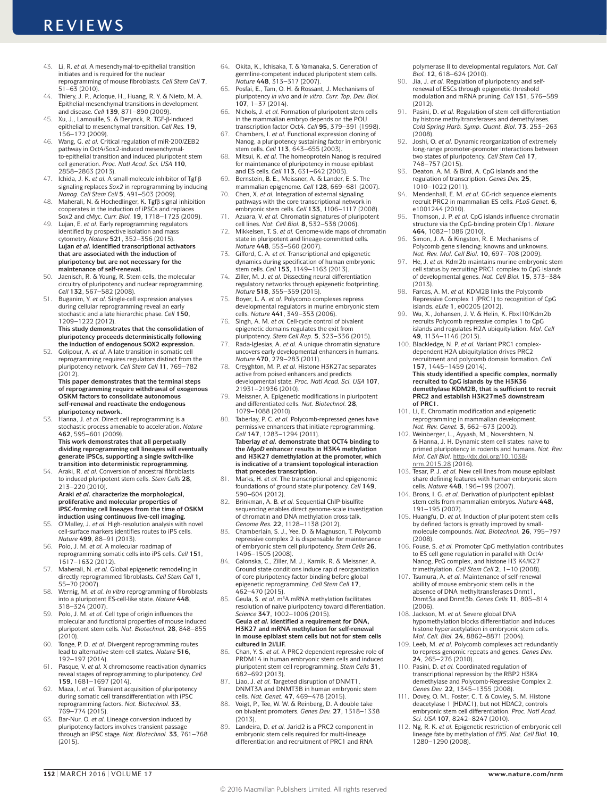- 43. Li, R. *et al.* A mesenchymal-to-epithelial transition initiates and is required for the nuclear reprogramming of mouse fibroblasts. *Cell Stem Cell* **7**, 51–63 (2010).
- 44. Thiery, J. P., Acloque, H., Huang, R. Y. & Nieto, M. A. Epithelial-mesenchymal transitions in development and disease. *Cell* **139**, 871–890 (2009).
- 45. Xu, J., Lamouille, S. & Derynck, R. TGF-β-induced epithelial to mesenchymal transition. *Cell Res.* **19**, 156–172 (2009).
- 46. Wang, G. *et al.* Critical regulation of miR-200/ZEB2 pathway in Oct4/Sox2-induced mesenchymalto-epithelial transition and induced pluripotent stem cell generation. *Proc. Natl Acad. Sci. USA* **110**, 2858–2863 (2013).
- 47. Ichida, J. K. *et al.* A small-molecule inhibitor of Tgf-β signaling replaces *Sox2* in reprogramming by inducing *Nanog*. *Cell Stem Cell* **5**, 491–503 (2009).
- 48. Maherali, N. & Hochedlinger, K. Tgfβ signal inhibition cooperates in the induction of iPSCs and replaces Sox2 and cMyc. *Curr. Biol.* **19**, 1718–1723 (2009).
- 49. Lujan, E. *et al.* Early reprogramming regulators identified by prospective isolation and mass cytometry. *Nature* **521**, 352–356 (2015). **Lujan** *et al.* **identified transcriptional activators that are associated with the induction of pluripotency but are not necessary for the maintenance of self-renewal.**
- Jaenisch, R. & Young, R. Stem cells, the molecular circuitry of pluripotency and nuclear reprogramming. *Cell* **132**, 567–582 (2008).
- 51. Buganim, Y. *et al.* Single-cell expression analyses during cellular reprogramming reveal an early stochastic and a late hierarchic phase. *Cell* **150**, 1209–1222 (2012).

**This study demonstrates that the consolidation of pluripotency proceeds deterministically following the induction of endogenous SOX2 expression.**

52. Golipour, A. *et al.* A late transition in somatic cell reprogramming requires regulators distinct from the pluripotency network. *Cell Stem Cell* **11**, 769–782  $(2012)$ 

**This paper demonstrates that the terminal steps of reprogramming require withdrawal of exogenous OSKM factors to consolidate autonomous self-renewal and reactivate the endogenous pluripotency network.**

- 53. Hanna, J. *et al.* Direct cell reprogramming is a stochastic process amenable to acceleration. *Nature*  **462**, 595–601 (2009). **This work demonstrates that all perpetually dividing reprogramming cell lineages will eventually generate iPSCs, supporting a single switch-like transition into deterministic reprogramming.**
- 54. Araki, R. *et al.* Conversion of ancestral fibroblasts to induced pluripotent stem cells. *Stem Cells* **28**, 213–220 (2010). **Araki** *et al.* **characterize the morphological,**

**proliferative and molecular properties of iPSC-forming cell lineages from the time of OSKM induction using continuous live-cell imaging.**

- 55. O'Malley, J. *et al.* High-resolution analysis with novel cell-surface markers identifies routes to iPS cells. *Nature* **499**, 88–91 (2013).
- 56. Polo, J. M. *et al.* A molecular roadmap of reprogramming somatic cells into iPS cells. *Cell* **151**, 1617–1632 (2012).
- 57. Maherali, N. *et al.* Global epigenetic remodeling in directly reprogrammed fibroblasts. *Cell Stem Cell* **1**, 55–70 (2007).
- 58. Wernig, M. *et al. In vitro* reprogramming of fibroblasts into a pluripotent ES-cell-like state. *Nature* **448**, 318–324 (2007).
- 59. Polo, J. M. *et al.* Cell type of origin influences the molecular and functional properties of mouse induced pluripotent stem cells. *Nat. Biotechnol.* **28**, 848–855 (2010).
- 60. Tonge, P. D. *et al.* Divergent reprogramming routes lead to alternative stem-cell states. *Nature* **516**, 192–197 (2014).
- 61. Pasque, V. *et al.* X chromosome reactivation dynamics reveal stages of reprogramming to pluripotency. *Cell*  **159**, 1681–1697 (2014).
- 62. Maza, I. *et al.* Transient acquisition of pluripotency during somatic cell transdifferentiation with iPSC reprogramming factors. *Nat. Biotechnol.* **33**, 769–774 (2015).
- 63. Bar-Nur, O. *et al.* Lineage conversion induced by pluripotency factors involves transient passage through an iPSC stage. *Nat. Biotechnol.* **33**, 761–768 (2015).
- 64. Okita, K., Ichisaka, T. & Yamanaka, S. Generation of germline-competent induced pluripotent stem cells. *Nature* **448**, 313–317 (2007).
- 65. Posfai, E., Tam, O. H. & Rossant, J. Mechanisms of pluripotency *in vivo* and *in vitro*. *Curr. Top. Dev. Biol.*  **107**, 1–37 (2014).
- Nichols, J. et al. Formation of pluripotent stem cells in the mammalian embryo depends on the POU transcription factor Oct4. *Cell* **95**, 379–391 (1998).
- 67. Chambers, I. *et al.* Functional expression cloning of Nanog, a pluripotency sustaining factor in embryonic stem cells. *Cell* **113**, 643–655 (2003).
- 68. Mitsui, K. *et al.* The homeoprotein Nanog is required for maintenance of pluripotency in mouse epiblast and ES cells. *Cell* **113**, 631–642 (2003).
- 69. Bernstein, B. E., Meissner, A. & Lander, E. S. The mammalian epigenome. *Cell* **128**, 669–681 (2007). Chen, X. et al. Integration of external signaling
- pathways with the core transcriptional network in embryonic stem cells. *Cell* **133**, 1106–1117 (2008). 71. Azuara, V. *et al.* Chromatin signatures of pluripotent
- cell lines. *Nat. Cell Biol.* **8**, 532–538 (2006). Mikkelsen, T. S. et al. Genome-wide maps of chromatin
- state in pluripotent and lineage-committed cells. *Nature* **448**, 553–560 (2007). 73. Gifford, C. A. *et al.* Transcriptional and epigenetic
- dynamics during specification of human embryonic stem cells. *Cell* **153**, 1149–1163 (2013).
- 74. Ziller, M. J. *et al.* Dissecting neural differentiation regulatory networks through epigenetic footprinting. *Nature* **518**, 355–359 (2015).
- 75. Boyer, L. A. *et al.* Polycomb complexes repress developmental regulators in murine embryonic stem cells. *Nature* **441**, 349–353 (2006).
- Singh, A. M. et al. Cell-cycle control of bivalent epigenetic domains regulates the exit from
- pluripotency. *Stem Cell Rep.* **5**, 323–336 (2015). 77. Rada-Iglesias, A. *et al.* A unique chromatin signature uncovers early developmental enhancers in humans. *Nature* **470**, 279–283 (2011).
- Creyghton, M. P. et al. Histone H3K27ac separates active from poised enhancers and predicts developmental state. *Proc. Natl Acad. Sci. USA* **107**, 21931–21936 (2010).
- 79. Meissner, A. Epigenetic modifications in pluripotent and differentiated cells. *Nat. Biotechnol.* **28**, 1079–1088 (2010).
- 80. Taberlay, P. C. *et al.* Polycomb-repressed genes have permissive enhancers that initiate reprogramming. *Cell* **147**, 1283–1294 (2011). **Taberlay** *et al.* **demonstrate that OCT4 binding to the** *MyoD* **enhancer results in H3K4 methylation and H3K27 demethylation at the promoter, which is indicative of a transient topological interaction that precedes transcription.**
- 81. Marks, H. *et al.* The transcriptional and epigenomic foundations of ground state pluripotency. *Cell* **149**, 590–604 (2012).
- 82. Brinkman, A. B. *et al.* Sequential ChIP-bisulfite sequencing enables direct genome-scale investigation of chromatin and DNA methylation cross-talk. *Genome Res.* **22**, 1128–1138 (2012).
- 83. Chamberlain, S. J., Yee, D. & Magnuson, T. Polycomb repressive complex 2 is dispensable for maintenance of embryonic stem cell pluripotency. *Stem Cells* **26**, 1496–1505 (2008).
- 84. Galonska, C., Ziller, M. J., Karnik, R. & Meissner, A. Ground state conditions induce rapid reorganization of core pluripotency factor binding before global epigenetic reprogramming. *Cell Stem Cell* **17**, 462–470 (2015).
- 85. Geula, S. *et al.* m<sup>6</sup>A mRNA methylation facilitates resolution of naive pluripotency toward differentiation. *Science* **347**, 1002–1006 (2015). **Geula** *et al.* **identified a requirement for DNA, H3K27 and mRNA methylation for self-renewal in mouse epiblast stem cells but not for stem cells cultured in 2i/LIF.**
- 86. Chan, Y. S. *et al.* A PRC2-dependent repressive role of PRDM14 in human embryonic stem cells and induced pluripotent stem cell reprogramming. *Stem Cells* **31**, 682–692 (2013).
- 87. Liao, J. *et al.* Targeted disruption of DNMT1, DNMT3A and DNMT3B in human embryonic stem cells. *Nat. Genet.* **47**, 469–478 (2015).
- 88. Voigt, P., Tee, W. W. & Reinberg, D. A double take on bivalent promoters. *Genes Dev.* **27**, 1318–1338 (2013).
- 89. Landeira, D. *et al.* Jarid2 is a PRC2 component in embryonic stem cells required for multi-lineage differentiation and recruitment of PRC1 and RNA

polymerase II to developmental regulators. *Nat. Cell Biol.* **12**, 618–624 (2010).

- 90. Jia, J. *et al.* Regulation of pluripotency and selfrenewal of ESCs through epigenetic-threshold modulation and mRNA pruning. *Cell* **151**, 576–589 (2012).
- Pasini, D. et al. Regulation of stem cell differentiation by histone methyltransferases and demethylases *Cold Spring Harb. Symp. Quant. Biol.* **73**, 253–263 (2008).
- 92. Joshi, O. *et al.* Dynamic reorganization of extremely long-range promoter-promoter interactions between two states of pluripotency. *Cell Stem Cell* **17**, 748–757 (2015).
- 93. Deaton, A. M. & Bird, A. CpG islands and the regulation of transcription. *Genes Dev.* **25**, 1010–1022 (2011).
- 94. Mendenhall, E. M. *et al.* GC-rich sequence elements recruit PRC2 in mammalian ES cells. *PLoS Genet.* **6**, e1001244 (2010).
- 95. Thomson, J. P. *et al.* CpG islands influence chromatin structure via the CpG-binding protein Cfp1. *Nature*  **464**, 1082–1086 (2010).
- Simon, J. A. & Kingston, R. E. Mechanisms of Polycomb gene silencing: knowns and unknowns. *Nat. Rev. Mol. Cell Biol.* **10**, 697–708 (2009).
- 97. He, J. *et al.* Kdm2b maintains murine embryonic stem cell status by recruiting PRC1 complex to CpG islands of developmental genes. *Nat. Cell Biol.* **15**, 373–384 (2013).
- 98. Farcas, A. M. *et al.* KDM2B links the Polycomb Repressive Complex 1 (PRC1) to recognition of CpG islands. *eLife* **1**, e00205 (2012).
- 99. Wu, X., Johansen, J. V. & Helin, K. Fbxl10/Kdm2b recruits Polycomb repressive complex 1 to CpG islands and regulates H2A ubiquitylation. *Mol. Cell*  **49**, 1134–1146 (2013).
- 100. Blackledge, N. P. *et al.* Variant PRC1 complexdependent H2A ubiquitylation drives PRC2 recruitment and polycomb domain formation. *Cell*  **157**, 1445–1459 (2014). **This study identified a specific complex, normally recruited to CpG islands by the H3K36 demethylase KDM2B, that is sufficient to recruit PRC2 and establish H3K27me3 downstream of PRC1.**
- 101. Li, E. Chromatin modification and epigenetic reprogramming in mammalian development. *Nat. Rev. Genet.* **3**, 662–673 (2002).
- 102. Weinberger, L., Ayyash, M., Novershtern, N. & Hanna, J. H. Dynamic stem cell states: naive to primed pluripotency in rodents and humans. *Nat. Rev. Mol. Cell Biol.* http://dx.doi.org/10.1038/
- nrm.2015.28 (2016). 103. Tesar, P. J. *et al.* New cell lines from mouse epiblast share defining features with human embryonic stem cells. *Nature* **448**, 196–199 (2007).
- 104. Brons, I. G. *et al.* Derivation of pluripotent epiblast stem cells from mammalian embryos. *Nature* **448**, 191–195 (2007).
- 105. Huangfu, D. *et al.* Induction of pluripotent stem cells by defined factors is greatly improved by smallmolecule compounds. *Nat. Biotechnol.* **26**, 795–797 (2008).
- 106. Fouse, S. *et al.* Promoter CpG methylation contributes to ES cell gene regulation in parallel with Oct4/ Nanog, PcG complex, and histone H3 K4/K27 trimethylation. *Cell Stem Cell* **2**, 1–10 (2008).
- 107. Tsumura, A. *et al.* Maintenance of self-renewal ability of mouse embryonic stem cells in the absence of DNA methyltransferases Dnmt1, Dnmt3a and Dnmt3b. *Genes Cells* **11**, 805–814 (2006).
- 108. Jackson, M. *et al.* Severe global DNA hypomethylation blocks differentiation and induces histone hyperacetylation in embryonic stem cells*. Mol. Cell. Biol.* **24**, 8862–8871 (2004).
- 109. Leeb, M. *et al.* Polycomb complexes act redundantly to repress genomic repeats and genes. *Genes Dev.*  **24**, 265–276 (2010).
- 110. Pasini, D. *et al.* Coordinated regulation of transcriptional repression by the RBP2 H3K4 demethylase and Polycomb-Repressive Complex 2.
- *Genes Dev.* **22**, 1345–1355 (2008). 111. Dovey, O. M., Foster, C. T. & Cowley, S. M. Histone deacetylase 1 (HDAC1), but not HDAC2, controls embryonic stem cell differentiation. *Proc. Natl Acad. Sci. USA* **107**, 8242–8247 (2010).
- 112. Ng, R. K. *et al.* Epigenetic restriction of embryonic cell lineage fate by methylation of *Elf5*. *Nat. Cell Biol.* **10**, 1280–1290 (2008).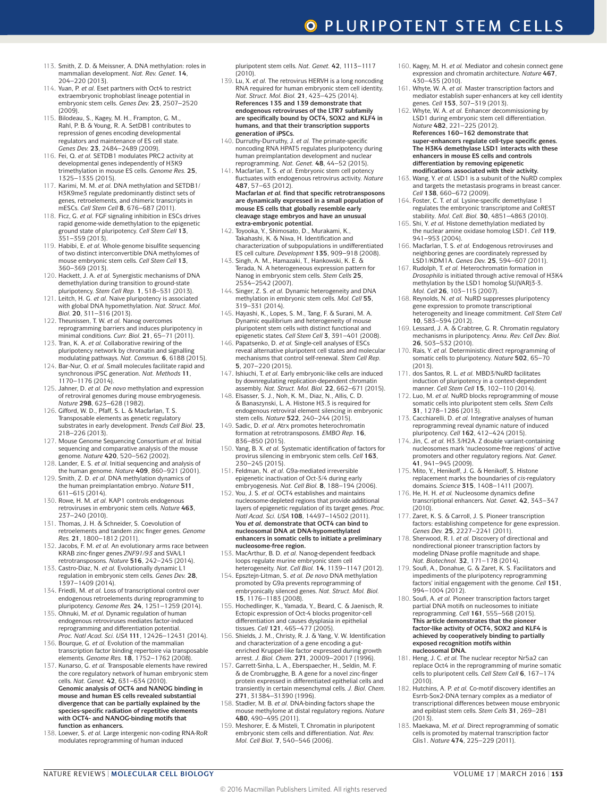**PLURIPOTENT STEM CELLS** 

- 113. Smith, Z. D. & Meissner, A. DNA methylation: roles in mammalian development. *Nat. Rev. Genet.* **14**, 204–220 (2013).
- 114. Yuan, P. *et al.* Eset partners with Oct4 to restrict extraembryonic trophoblast lineage potential in embryonic stem cells. *Genes Dev.* **23**, 2507–2520 (2009).
- 115. Bilodeau, S., Kagey, M. H., Frampton, G. M., Rahl, P. B. & Young, R. A. SetDB1 contributes to repression of genes encoding developmental regulators and maintenance of ES cell state. *Genes Dev.* **23**, 2484–2489 (2009).
- 116. Fei, Q. *et al.* SETDB1 modulates PRC2 activity at developmental genes independently of H3K9 trimethylation in mouse ES cells. *Genome Res.* **25**, 1325–1335 (2015).
- 117. Karimi, M. M. *et al.* DNA methylation and SETDB1/ H3K9me3 regulate predominantly distinct sets of genes, retroelements, and chimeric transcripts in mESCs. *Cell Stem Cell* **8**, 676–687 (2011).
- 118. Ficz, G. *et al.* FGF signaling inhibition in ESCs drives rapid genome-wide demethylation to the epigenetic ground state of pluripotency. *Cell Stem Cell* **13**, 351–359 (2013).
- 119. Habibi, E. *et al.* Whole-genome bisulfite sequencing of two distinct interconvertible DNA methylomes of mouse embryonic stem cells. *Cell Stem Cell* **13**, 360–369 (2013).
- 120. Hackett, J. A. *et al.* Synergistic mechanisms of DNA demethylation during transition to ground-state
- pluripotency. *Stem Cell Rep.* **1**, 518–531 (2013). 121. Leitch, H. G. *et al.* Naive pluripotency is associated with global DNA hypomethylation. *Nat. Struct. Mol. Biol.* **20**, 311–316 (2013).
- 122. Theunissen, T. W. *et al.* Nanog overcomes reprogramming barriers and induces pluripotency in minimal conditions. *Curr. Biol.* **21**, 65–71 (2011).
- 123. Tran, K. A. *et al.* Collaborative rewiring of the pluripotency network by chromatin and signalling modulating pathways. *Nat. Commun.* **6**, 6188 (2015).
- 124. Bar-Nur, O. *et al.* Small molecules facilitate rapid and synchronous iPSC generation. *Nat. Methods* **11**, 1170–1176 (2014).
- 125. Jahner, D. *et al. De novo* methylation and expression of retroviral genomes during mouse embryogenesis. *Nature* **298**, 623–628 (1982).
- 126. Gifford, W. D., Pfaff, S. L. & Macfarlan, T. S. Transposable elements as genetic regulatory substrates in early development. *Trends Cell Biol.* **23**, 218–226 (2013).
- 127. Mouse Genome Sequencing Consortium *et al.* Initial sequencing and comparative analysis of the mouse genome. *Nature* **420**, 520–562 (2002).
- 128. Lander, E. S. *et al.* Initial sequencing and analysis of the human genome. *Nature* **409**, 860–921 (2001). 129. Smith, Z. D. *et al.* DNA methylation dynamics of
- the human preimplantation embryo. *Nature* **511**, 611–615 (2014).
- 130. Rowe, H. M. *et al.* KAP1 controls endogenous retroviruses in embryonic stem cells. *Nature* **463**, 237–240 (2010).
- 131. Thomas, J. H. & Schneider, S. Coevolution of retroelements and tandem zinc finger genes. *Genome Res.* **21**, 1800–1812 (2011).
- 132. Jacobs, F. M. *et al.* An evolutionary arms race between KRAB zinc-finger genes *ZNF91/93* and SVA/L1 retrotransposons. *Nature* **516**, 242–245 (2014).
- 133. Castro-Diaz, N. *et al.* Evolutionally dynamic L1 regulation in embryonic stem cells. *Genes Dev.* **28**, 1397–1409 (2014).
- 134. Friedli, M. *et al.* Loss of transcriptional control over endogenous retroelements during reprogramming to pluripotency. *Genome Res.* **24**, 1251–1259 (2014).
- 135. Ohnuki, M. *et al.* Dynamic regulation of human endogenous retroviruses mediates factor-induced reprogramming and differentiation potential. *Proc. Natl Acad. Sci. USA* **111**, 12426–12431 (2014).
- 136. Bourque, G. *et al.* Evolution of the mammalian transcription factor binding repertoire via transposable elements. *Genome Res.* **18**, 1752–1762 (2008).
- 137. Kunarso, G. *et al.* Transposable elements have rewired the core regulatory network of human embryonic stem cells. *Nat. Genet.* **42**, 631–634 (2010). **Genomic analysis of OCT4 and NANOG binding in mouse and human ES cells revealed substantial divergence that can be partially explained by the species-specific radiation of repetitive elements with OCT4- and NANOG-binding motifs that function as enhancers.**
- 138. Loewer, S. *et al.* Large intergenic non-coding RNA-RoR modulates reprogramming of human induced

pluripotent stem cells. *Nat. Genet.* **42**, 1113–1117 (2010).

- 139. Lu, X. *et al.* The retrovirus HERVH is a long noncoding RNA required for human embryonic stem cell identity. *Nat. Struct. Mol. Biol.* **21**, 423–425 (2014). **References 135 and 139 demonstrate that endogenous retroviruses of the LTR7 subfamily are specifically bound by OCT4, SOX2 and KLF4 in humans, and that their transcription supports generation of iPSCs.**
- 140. Durruthy-Durruthy, J. *et al.* The primate-specific noncoding RNA HPAT5 regulates pluripotency during human preimplantation development and nuclear reprogramming. *Nat. Genet.* **48**, 44–52 (2015).
- 141. Macfarlan, T. S. *et al.* Embryonic stem cell potency fluctuates with endogenous retrovirus activity. *Nature*  **487**, 57–63 (2012).

**Macfarlan** *et al.* **find that specific retrotransposons are dynamically expressed in a small population of mouse ES cells that globally resemble early cleavage stage embryos and have an unusual extra-embryonic potential.**

- 142. Toyooka, Y., Shimosato, D., Murakami, K., Takahashi, K. & Niwa, H. Identification and characterization of subpopulations in undifferentiated ES cell culture. *Development* **135**, 909–918 (2008).
- 143. Singh, A. M., Hamazaki, T., Hankowski, K. E. & Terada, N. A heterogeneous expression pattern for Nanog in embryonic stem cells. *Stem Cells* **25**, 2534–2542 (2007).
- 144. Singer, Z. S. *et al.* Dynamic heterogeneity and DNA methylation in embryonic stem cells. *Mol. Cell* **55**, 319–331 (2014).
- 145. Hayashi, K., Lopes, S. M., Tang, F. & Surani, M. A. Dynamic equilibrium and heterogeneity of mouse pluripotent stem cells with distinct functional and epigenetic states. *Cell Stem Cell* **3**, 391–401 (2008).
- 146. Papatsenko, D. *et al.* Single-cell analyses of ESCs reveal alternative pluripotent cell states and molecular mechanisms that control self-renewal. *Stem Cell Rep.*  **5**, 207–220 (2015).
- 147. Ishiuchi, T. *et al.* Early embryonic-like cells are induced by downregulating replication-dependent chromatin assembly. *Nat. Struct. Mol. Biol.* **22**, 662–671 (2015).
- 148. Elsasser, S. J., Noh, K. M., Diaz, N., Allis, C. D. & Banaszynski, L. A. Histone H3.3 is required for endogenous retroviral element silencing in embryonic stem cells. *Nature* **522**, 240–244 (2015).
- 149. Sadic, D. *et al.* Atrx promotes heterochromatin formation at retrotransposons. *EMBO Rep.* **16**, 836–850 (2015).
- 150. Yang, B. X. *et al.* Systematic identification of factors for provirus silencing in embryonic stem cells. *Cell* **163**, 230–245 (2015).
- 151. Feldman, N. *et al.* G9a-mediated irreversible epigenetic inactivation of Oct-3/4 during early embryogenesis. *Nat. Cell Biol.* **8**, 188–194 (2006).
- 152. You, J. S. *et al.* OCT4 establishes and maintains nucleosome-depleted regions that provide additional layers of epigenetic regulation of its target genes. *Proc. Natl Acad. Sci. USA* **108**, 14497–14502 (2011). **You** *et al.* **demonstrate that OCT4 can bind to nucleosomal DNA at DNA-hypomethylated enhancers in somatic cells to initiate a preliminary nucleosome-free region.**
- 153. MacArthur, B. D. *et al.* Nanog-dependent feedback loops regulate murine embryonic stem cell
- heterogeneity. *Nat. Cell Biol.* **14**, 1139–1147 (2012). 154. Epsztejn-Litman, S. *et al. De novo* DNA methylation promoted by G9a prevents reprogramming of embryonically silenced genes. *Nat. Struct. Mol. Biol.*  **15**, 1176–1183 (2008).
- 155. Hochedlinger, K., Yamada, Y., Beard, C. & Jaenisch, R. Ectopic expression of Oct-4 blocks progenitor-cell differentiation and causes dysplasia in epithelial tissues. *Cell* **121**, 465–477 (2005).
- 156. Shields, J. M., Christy, R. J. & Yang, V. W. Identification and characterization of a gene encoding a gutenriched Kruppel-like factor expressed during growth arrest. *J. Biol. Chem.* **271**, 20009–20017 (1996).
- 157. Garrett-Sinha, L. A., Eberspaecher, H., Seldin, M. F. & de Crombrugghe, B. A gene for a novel zinc-finger protein expressed in differentiated epithelial cells and transiently in certain mesenchymal cells. *J. Biol. Chem.*  **271**, 31384–31390 (1996).
- 158. Stadler, M. B. *et al.* DNA-binding factors shape the mouse methylome at distal regulatory regions. *Nature*  **480**, 490–495 (2011).
- 159. Meshorer, E. & Misteli, T. Chromatin in pluripotent embryonic stem cells and differentiation. *Nat. Rev. Mol. Cell Biol.* **7**, 540–546 (2006).
- 160. Kagey, M. H. *et al.* Mediator and cohesin connect gene expression and chromatin architecture. *Nature* **467**, 430–435 (2010).
- 161. Whyte, W. A. *et al.* Master transcription factors and mediator establish super-enhancers at key cell identity genes. *Cell* **153**, 307–319 (2013).
- 162. Whyte, W. A. *et al.* Enhancer decommissioning by LSD1 during embryonic stem cell differentiation. *Nature* **482**, 221–225 (2012). **References 160–162 demonstrate that super-enhancers regulate cell-type specific genes. The H3K4 demethylase LSD1 interacts with these enhancers in mouse ES cells and controls differentiation by removing epigenetic modifications associated with their activity.**
- 163. Wang, Y. *et al.* LSD1 is a subunit of the NuRD complex and targets the metastasis programs in breast cancer. *Cell* **138**, 660–672 (2009).
- 164. Foster, C. T. *et al.* Lysine-specific demethylase 1 regulates the embryonic transcriptome and CoREST stability*. Mol. Cell. Biol.* **30**, 4851–4863 (2010).
- 165. Shi, Y. *et al.* Histone demethylation mediated by the nuclear amine oxidase homolog LSD1. *Cell* **119**, 941–953 (2004).
- 166. Macfarlan, T. S. *et al.* Endogenous retroviruses and neighboring genes are coordinately repressed by LSD1/KDM1A. *Genes Dev.* **25**, 594–607 (2011).
- 167. Rudolph, T. *et al.* Heterochromatin formation in *Drosophila* is initiated through active removal of H3K4 methylation by the LSD1 homolog SU(VAR)3-3. *Mol. Cell* **26**, 103–115 (2007). 168. Reynolds, N. *et al.* NuRD suppresses pluripotency
- gene expression to promote transcriptional heterogeneity and lineage commitment. *Cell Stem Cell*  **10**, 583–594 (2012).
- 169. Lessard, J. A. & Crabtree, G. R. Chromatin regulatory mechanisms in pluripotency. *Annu. Rev. Cell Dev. Biol.*  **26**, 503–532 (2010).
- 170. Rais, Y. *et al.* Deterministic direct reprogramming of somatic cells to pluripotency. *Nature* **502**, 65–70 (2013).
- 171. dos Santos, R. L. *et al.* MBD3/NuRD facilitates induction of pluripotency in a context-dependent manner. *Cell Stem Cell* **15**, 102–110 (2014).
- 172. Luo, M. *et al.* NuRD blocks reprogramming of mouse somatic cells into pluripotent stem cells. *Stem Cells*
- **31**, 1278–1286 (2013). 173. Cacchiarelli, D. *et al.* Integrative analyses of human reprogramming reveal dynamic nature of induced pluripotency. *Cell* **162**, 412–424 (2015).
- 174. Jin, C. *et al.* H3.3/H2A. Z double variant-containing nucleosomes mark 'nucleosome-free regions' of active promoters and other regulatory regions. *Nat. Genet.*  **41**, 941–945 (2009).
- 175. Mito, Y., Henikoff, J. G. & Henikoff, S. Histone replacement marks the boundaries of *cis*-regulatory domains. *Science* **315**, 1408–1411 (2007).
- 176. He, H. H. *et al.* Nucleosome dynamics define transcriptional enhancers. *Nat. Genet.* **42**, 343–347 (2010).
- 177. Zaret, K. S. & Carroll, J. S. Pioneer transcription factors: establishing competence for gene expression. *Genes Dev.* **25**, 2227–2241 (2011).
- 178. Sherwood, R. I. *et al.* Discovery of directional and nondirectional pioneer transcription factors by modeling DNase profile magnitude and shape. *Nat. Biotechnol.* **32**, 171–178 (2014).
- 179. Soufi, A., Donahue, G. & Zaret, K. S. Facilitators and impediments of the pluripotency reprogramming factors' initial engagement with the genome. *Cell* **151**, 994–1004 (2012).
- 180. Soufi, A. *et al.* Pioneer transcription factors target partial DNA motifs on nucleosomes to initiate reprogramming. *Cell* **161**, 555–568 (2015). **This article demonstrates that the pioneer factor-like activity of OCT4, SOX2 and KLF4 is achieved by cooperatively binding to partially exposed recognition motifs within nucleosomal DNA.**
- 181. Heng, J. C. *et al.* The nuclear receptor Nr5a2 can replace Oct4 in the reprogramming of murine somatic cells to pluripotent cells. *Cell Stem Cell* **6**, 167–174 (2010).
- 182. Hutchins, A. P. *et al.* Co-motif discovery identifies an Esrrb-Sox2-DNA ternary complex as a mediator of transcriptional differences between mouse embryonic and epiblast stem cells. *Stem Cells* **31**, 269–281 (2013).
- 183. Maekawa, M. *et al.* Direct reprogramming of somatic cells is promoted by maternal transcription factor Glis1. *Nature* **474**, 225–229 (2011).